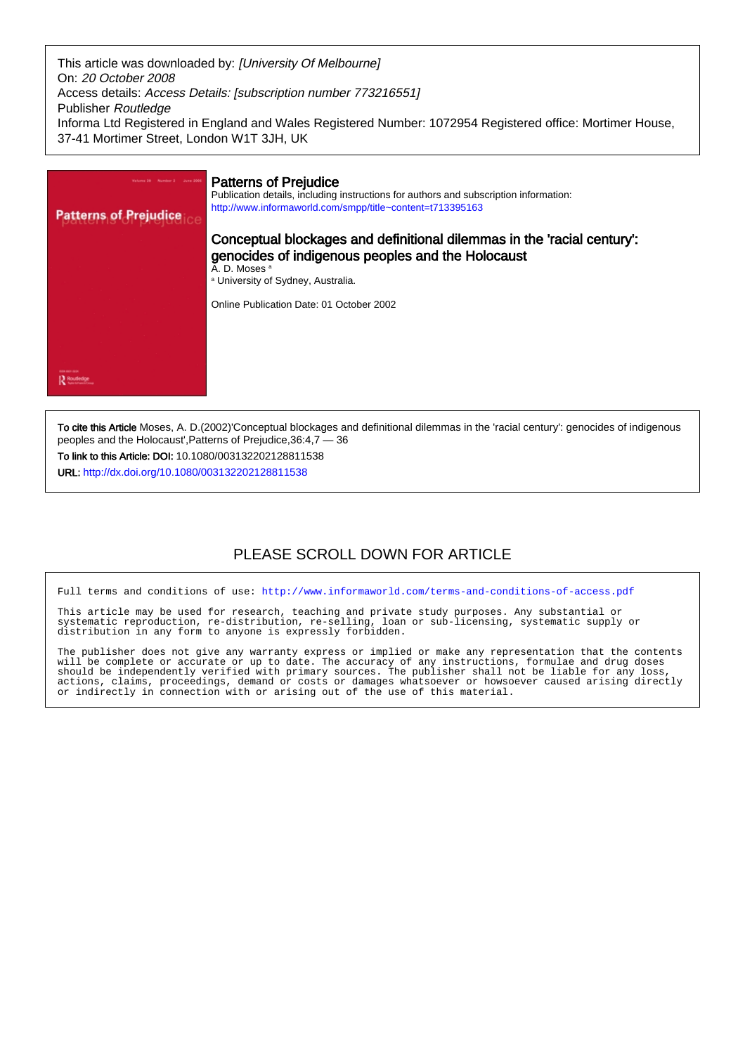This article was downloaded by: [University Of Melbourne] On: 20 October 2008 Access details: Access Details: [subscription number 773216551] Publisher Routledge Informa Ltd Registered in England and Wales Registered Number: 1072954 Registered office: Mortimer House, 37-41 Mortimer Street, London W1T 3JH, UK



To cite this Article Moses, A. D.(2002)'Conceptual blockages and definitional dilemmas in the 'racial century': genocides of indigenous peoples and the Holocaust',Patterns of Prejudice,36:4,7 — 36 To link to this Article: DOI: 10.1080/003132202128811538

URL: <http://dx.doi.org/10.1080/003132202128811538>

## PLEASE SCROLL DOWN FOR ARTICLE

Full terms and conditions of use:<http://www.informaworld.com/terms-and-conditions-of-access.pdf>

This article may be used for research, teaching and private study purposes. Any substantial or systematic reproduction, re-distribution, re-selling, loan or sub-licensing, systematic supply or distribution in any form to anyone is expressly forbidden.

The publisher does not give any warranty express or implied or make any representation that the contents will be complete or accurate or up to date. The accuracy of any instructions, formulae and drug doses should be independently verified with primary sources. The publisher shall not be liable for any loss, actions, claims, proceedings, demand or costs or damages whatsoever or howsoever caused arising directly or indirectly in connection with or arising out of the use of this material.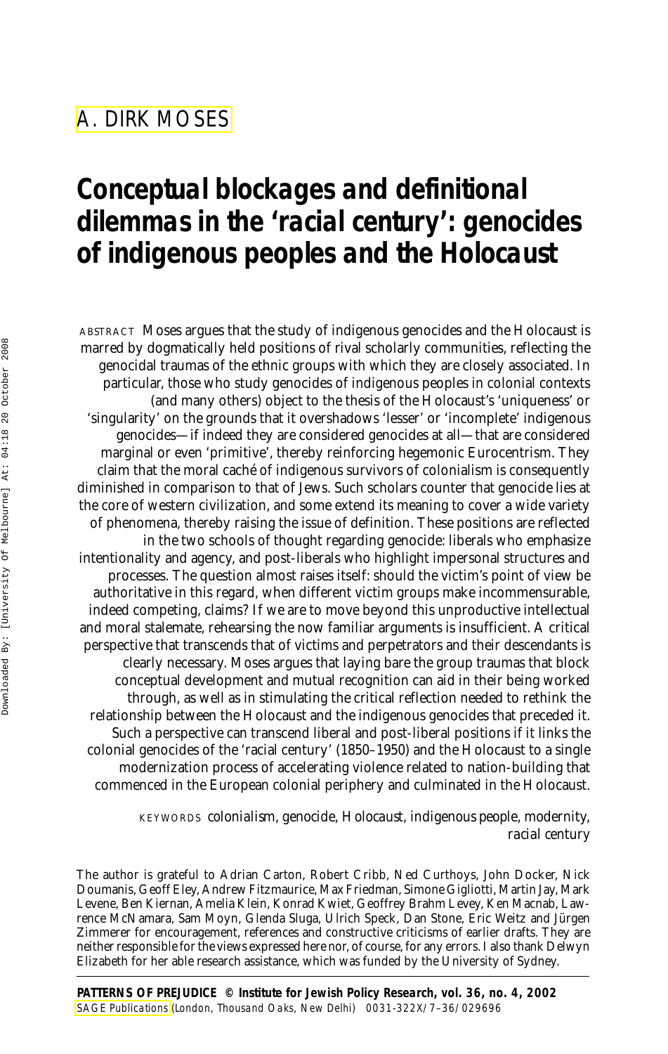## [A. DIRK MOSES](#page-30-0)

# **Conceptual blockages and definitional dilemmas in the 'racial century': genocides of indigenous peoples and the Holocaust**

ABSTRACT Moses argues that the study of indigenous genocides and the Holocaust is marred by dogmatically held positions of rival scholarly communities, reflecting the genocidal traumas of the ethnic groups with which they are closely associated. In particular, those who study genocides of indigenous peoples in colonial contexts (and many others) object to the thesis of the Holocaust's 'uniqueness' or 'singularity' on the grounds that it overshadows 'lesser' or 'incomplete' indigenous genocides—if indeed they are considered genocides at all—that are considered marginal or even 'primitive', thereby reinforcing hegemonic Eurocentrism. They claim that the moral caché of indigenous survivors of colonialism is consequently diminished in comparison to that of Jews. Such scholars counter that genocide lies at the core of western civilization, and some extend its meaning to cover a wide variety of phenomena, thereby raising the issue of definition. These positions are reflected in the two schools of thought regarding genocide: liberals who emphasize intentionality and agency, and post-liberals who highlight impersonal structures and processes. The question almost raises itself: should the victim's point of view be authoritative in this regard, when different victim groups make incommensurable, indeed competing, claims? If we are to move beyond this unproductive intellectual and moral stalemate, rehearsing the now familiar arguments is insufficient. A critical perspective that transcends that of victims and perpetrators and their descendants is clearly necessary. Moses argues that laying bare the group traumas that block conceptual development and mutual recognition can aid in their being worked through, as well as in stimulating the critical reflection needed to rethink the relationship between the Holocaust and the indigenous genocides that preceded it. Such a perspective can transcend liberal and post-liberal positions if it links the colonial genocides of the 'racial century' (1850–1950) and the Holocaust to a single modernization process of accelerating violence related to nation-building that commenced in the European colonial periphery and culminated in the Holocaust.

> KEYWORDS *colonialism, genocide, Holocaust, indigenous people, modernity, racial century*

The author is grateful to Adrian Carton, Robert Cribb, Ned Curthoys, John Docker, Nick Doumanis, Geoff Eley, Andrew Fitzmaurice, Max Friedman, Simone Gigliotti, Martin Jay, Mark Levene, Ben Kiernan, Amelia Klein, Konrad Kwiet, Geoffrey Brahm Levey, Ken Macnab, Lawrence McNamara, Sam Moyn, Glenda Sluga, Ulrich Speck, Dan Stone, Eric Weitz and Jürgen Zimmerer for encouragement, references and constructive criticisms of earlier drafts. They are neither responsible for the views expressed here nor, of course, for any errors. I also thank Delwyn Elizabeth for her able research assistance, which was funded by the University of Sydney.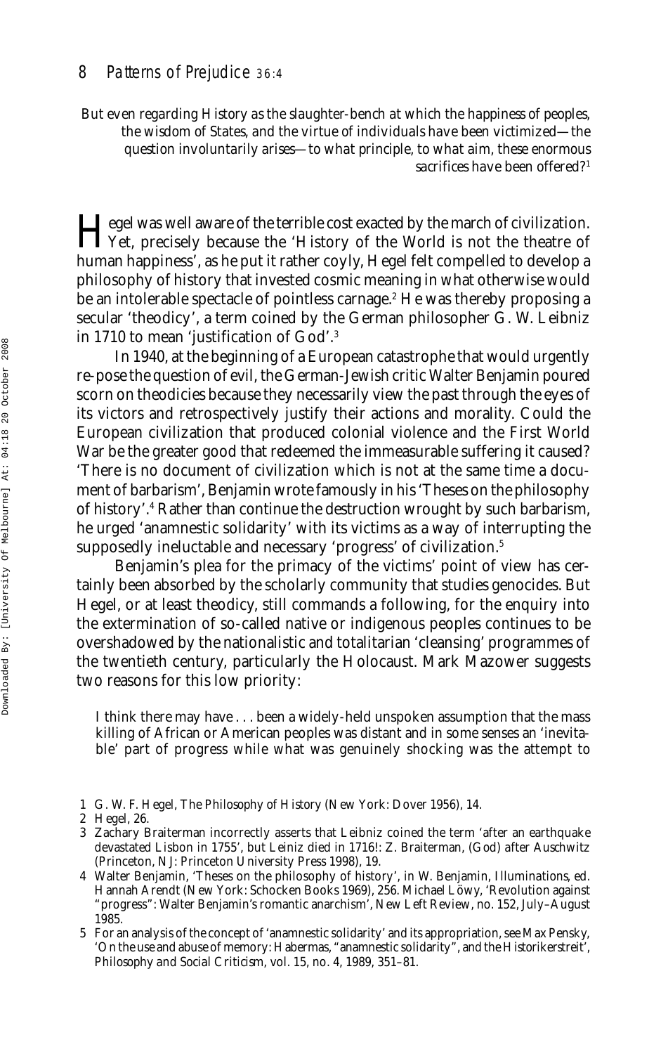*But even regarding History as the slaughter-bench at which the happiness of peoples, the wisdom of States, and the virtue of individuals have been victimized—the question involuntarily arises—to what principle, to what aim, these enormous sacrifices have been offered?*<sup>1</sup>

Hegel was well aware of the terrible cost exacted by the march of civilization. Yet, precisely because the 'History of the World is not the theatre of human happiness', as he put it rather coyly, Hegel felt compelled to develop a philosophy of history that invested cosmic meaning in what otherwise would be an intolerable spectacle of pointless carnage.<sup>2</sup> He was thereby proposing a secular 'theodicy', a term coined by the German philosopher G. W. Leibniz in 1710 to mean 'justification of God'.3

In 1940, at the beginning of a European catastrophe that would urgently re-pose the question of evil, the German-Jewish critic Walter Benjamin poured scorn on theodicies because they necessarily view the past through the eyes of its victors and retrospectively justify their actions and morality. Could the European civilization that produced colonial violence and the First World War be the greater good that redeemed the immeasurable suffering it caused? 'There is no document of civilization which is not at the same time a document of barbarism', Benjamin wrote famously in his 'Theses on the philosophy of history'.4 Rather than continue the destruction wrought by such barbarism, he urged 'anamnestic solidarity' with its victims as a way of interrupting the supposedly ineluctable and necessary 'progress' of civilization.<sup>5</sup>

Benjamin's plea for the primacy of the victims' point of view has certainly been absorbed by the scholarly community that studies genocides. But Hegel, or at least theodicy, still commands a following, for the enquiry into the extermination of so-called native or indigenous peoples continues to be overshadowed by the nationalistic and totalitarian 'cleansing' programmes of the twentieth century, particularly the Holocaust. Mark Mazower suggests two reasons for this low priority:

I think there may have . . . been a widely-held unspoken assumption that the mass killing of African or American peoples was distant and in some senses an 'inevitable' part of progress while what was genuinely shocking was the attempt to

- 3 Zachary Braiterman incorrectly asserts that Leibniz coined the term 'after an earthquake devastated Lisbon in 1755', but Leiniz died in 1716!: Z. Braiterman, *(God) after Auschwitz* (Princeton, NJ: Princeton University Press 1998), 19.
- 4 Walter Benjamin, 'Theses on the philosophy of history', in W. Benjamin, *Illuminations*, ed. Hannah Arendt (New York: Schocken Books 1969), 256. Michael Löwy, 'Revolution against "progress": Walter Benjamin's romantic anarchism', *New Left Review*, no. 152, July–August 1985.
- 5 For an analysis of the concept of 'anamnestic solidarity' and its appropriation, see Max Pensky, 'On the use and abuse of memory: Habermas, "anamnestic solidarity", and the *Historikerstreit*', *Philosophy and Social Criticism*, vol. 15, no. 4, 1989, 351–81.

 <sup>1</sup> G. W. F. Hegel, *The Philosophy of History* (New York: Dover 1956), 14.

 <sup>2</sup> Hegel, 26.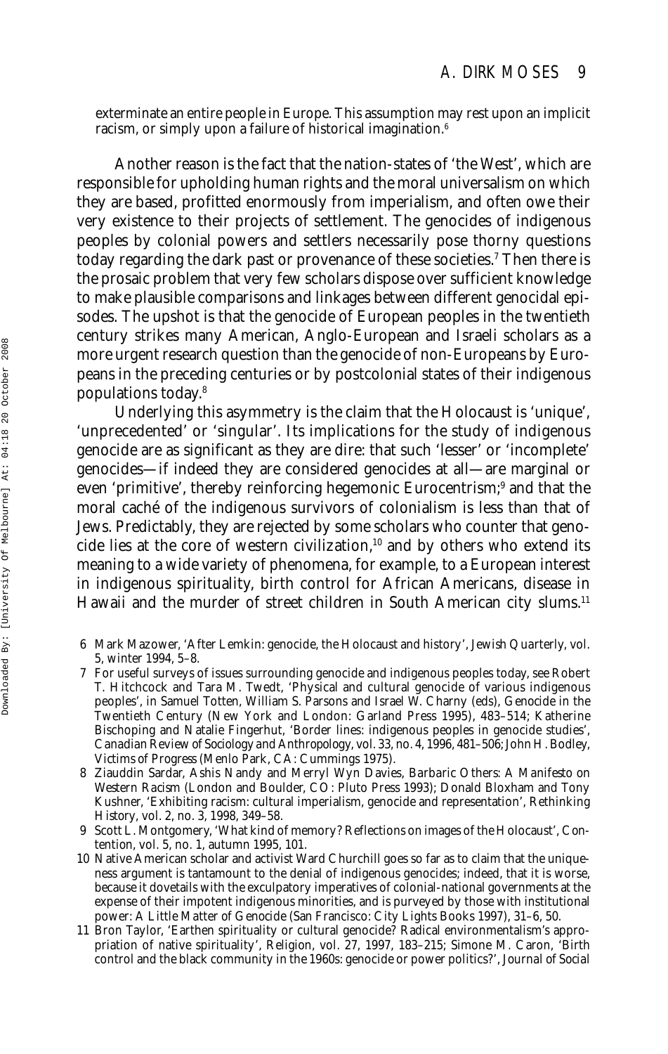exterminate an entire people in Europe. This assumption may rest upon an implicit racism, or simply upon a failure of historical imagination.<sup>6</sup>

Another reason is the fact that the nation-states of 'the West', which are responsible for upholding human rights and the moral universalism on which they are based, profitted enormously from imperialism, and often owe their very existence to their projects of settlement. The genocides of indigenous peoples by colonial powers and settlers necessarily pose thorny questions today regarding the dark past or provenance of these societies.<sup>7</sup> Then there is the prosaic problem that very few scholars dispose over sufficient knowledge to make plausible comparisons and linkages between different genocidal episodes. The upshot is that the genocide of European peoples in the twentieth century strikes many American, Anglo-European and Israeli scholars as a more urgent research question than the genocide of non-Europeans by Europeans in the preceding centuries or by postcolonial states of their indigenous populations today.8

Underlying this asymmetry is the claim that the Holocaust is 'unique', 'unprecedented' or 'singular'. Its implications for the study of indigenous genocide are as significant as they are dire: that such 'lesser' or 'incomplete' genocides—if indeed they are considered genocides at all—are marginal or even 'primitive', thereby reinforcing hegemonic Eurocentrism;<sup>9</sup> and that the moral caché of the indigenous survivors of colonialism is less than that of Jews. Predictably, they are rejected by some scholars who counter that genocide lies at the core of western civilization, $10$  and by others who extend its meaning to a wide variety of phenomena, for example, to a European interest in indigenous spirituality, birth control for African Americans, disease in Hawaii and the murder of street children in South American city slums.<sup>11</sup>

- 6 Mark Mazower, 'After Lemkin: genocide, the Holocaust and history', *Jewish Quarterly*, vol. 5, winter 1994, 5–8.
- 7 For useful surveys of issues surrounding genocide and indigenous peoples today, see Robert T. Hitchcock and Tara M. Twedt, 'Physical and cultural genocide of various indigenous peoples', in Samuel Totten, William S. Parsons and Israel W. Charny (eds), *Genocide in the Twentieth Century* (New York and London: Garland Press 1995), 483–514; Katherine Bischoping and Natalie Fingerhut, 'Border lines: indigenous peoples in genocide studies', *Canadian Review of Sociology and Anthropology*, vol. 33, no. 4, 1996, 481–506; John H. Bodley, *Victims of Progress* (Menlo Park, CA: Cummings 1975).
- 8 Ziauddin Sardar, Ashis Nandy and Merryl Wyn Davies, *Barbaric Others: A Manifesto on Western Racism* (London and Boulder, CO: Pluto Press 1993); Donald Bloxham and Tony Kushner, 'Exhibiting racism: cultural imperialism, genocide and representation', *Rethinking History*, vol. 2, no. 3, 1998, 349–58.
- 9 Scott L. Montgomery, 'What kind of memory? Reflections on images of the Holocaust', *Contention*, vol. 5, no. 1, autumn 1995, 101.
- 10 Native American scholar and activist Ward Churchill goes so far as to claim that the uniqueness argument is tantamount to the denial of indigenous genocides; indeed, that it is worse, because it dovetails with the exculpatory imperatives of colonial-national governments at the expense of their impotent indigenous minorities, and is purveyed by those with institutional power: *A Little Matter of Genocide* (San Francisco: City Lights Books 1997), 31–6, 50.
- 11 Bron Taylor, 'Earthen spirituality or cultural genocide? Radical environmentalism's appropriation of native spirituality', *Religion*, vol. 27, 1997, 183–215; Simone M. Caron, 'Birth control and the black community in the 1960s: genocide or power politics?', *Journal of Social*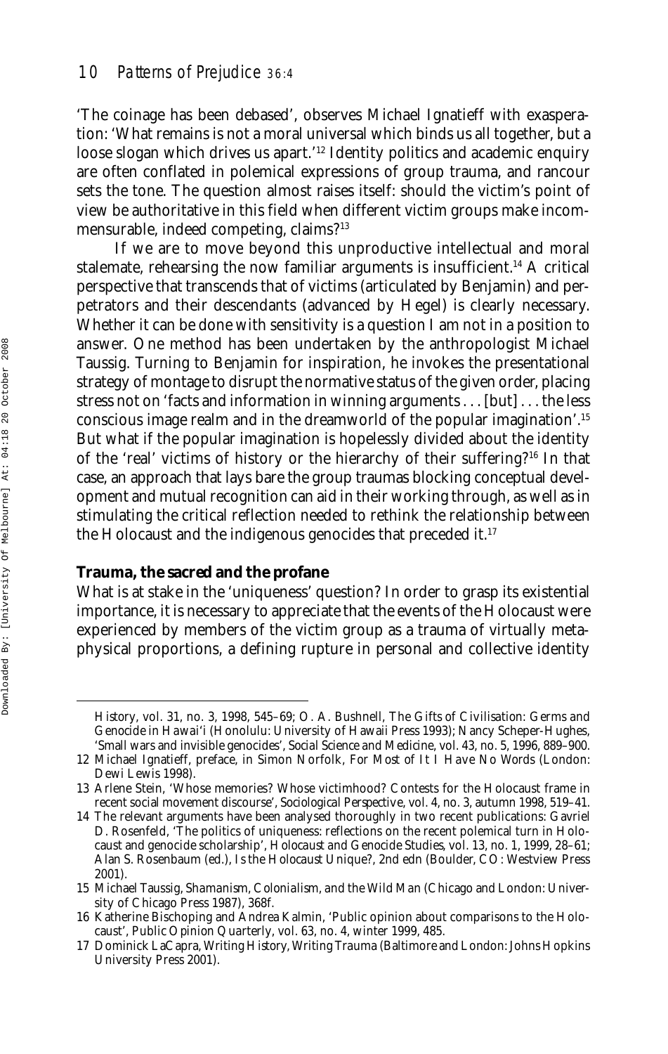'The coinage has been debased', observes Michael Ignatieff with exasperation: 'What remains is not a moral universal which binds us all together, but a loose slogan which drives us apart.'<sup>12</sup> Identity politics and academic enquiry are often conflated in polemical expressions of group trauma, and rancour sets the tone. The question almost raises itself: should the victim's point of view be authoritative in this field when different victim groups make incommensurable, indeed competing, claims?13

If we are to move beyond this unproductive intellectual and moral stalemate, rehearsing the now familiar arguments is insufficient.<sup>14</sup> A critical perspective that transcends that of victims (articulated by Benjamin) and perpetrators and their descendants (advanced by Hegel) is clearly necessary. Whether it can be done with sensitivity is a question I am not in a position to answer. One method has been undertaken by the anthropologist Michael Taussig. Turning to Benjamin for inspiration, he invokes the presentational strategy of montage to disrupt the normative status of the given order, placing stress not on 'facts and information in winning arguments . . . [but] . . . the less conscious image realm and in the dreamworld of the popular imagination'.15 But what if the popular imagination is hopelessly divided about the identity of the 'real' victims of history or the hierarchy of their suffering?16 In that case, an approach that lays bare the group traumas blocking conceptual development and mutual recognition can aid in their working through, as well as in stimulating the critical reflection needed to rethink the relationship between the Holocaust and the indigenous genocides that preceded it. $17$ 

#### **Trauma, the sacred and the profane**

What is at stake in the 'uniqueness' question? In order to grasp its existential importance, it is necessary to appreciate that the events of the Holocaust were experienced by members of the victim group as a trauma of virtually metaphysical proportions, a defining rupture in personal and collective identity

*History*, vol. 31, no. 3, 1998, 545–69; O. A. Bushnell, *The Gifts of Civilisation: Germs and Genocide in Hawai'i* (Honolulu: University of Hawaii Press 1993); Nancy Scheper-Hughes, 'Small wars and invisible genocides', *Social Science and Medicine*, vol. 43, no. 5, 1996, 889–900.

<sup>12</sup> Michael Ignatieff, preface, in Simon Norfolk, *For Most of It I Have No Words* (London: Dewi Lewis 1998).

<sup>13</sup> Arlene Stein, 'Whose memories? Whose victimhood? Contests for the Holocaust frame in recent social movement discourse', *Sociological Perspective*, vol. 4, no. 3, autumn 1998, 519–41.

<sup>14</sup> The relevant arguments have been analysed thoroughly in two recent publications: Gavriel D. Rosenfeld, 'The politics of uniqueness: reflections on the recent polemical turn in Holocaust and genocide scholarship', *Holocaust and Genocide Studies*, vol. 13, no. 1, 1999, 28–61; Alan S. Rosenbaum (ed.), *Is the Holocaust Unique?*, 2nd edn (Boulder, CO: Westview Press 2001).

<sup>15</sup> Michael Taussig, *Shamanism, Colonialism, and the Wild Man* (Chicago and London: University of Chicago Press 1987), 368f.

<sup>16</sup> Katherine Bischoping and Andrea Kalmin, 'Public opinion about comparisons to the Holocaust', *Public Opinion Quarterly*, vol. 63, no. 4, winter 1999, 485.

<sup>17</sup> Dominick LaCapra, *Writing History, Writing Trauma* (Baltimore and London: Johns Hopkins University Press 2001).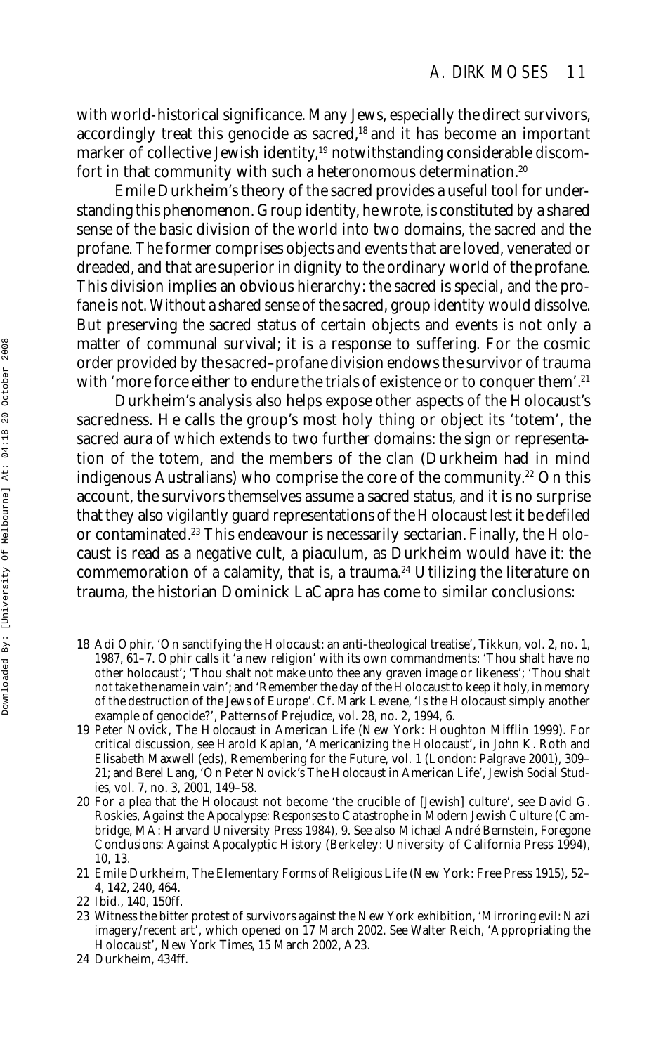with world-historical significance. Many Jews, especially the direct survivors, accordingly treat this genocide as sacred,<sup>18</sup> and it has become an important marker of collective Jewish identity,<sup>19</sup> notwithstanding considerable discomfort in that community with such a heteronomous determination.<sup>20</sup>

Emile Durkheim's theory of the sacred provides a useful tool for understanding this phenomenon. Group identity, he wrote, is constituted by a shared sense of the basic division of the world into two domains, the sacred and the profane. The former comprises objects and events that are loved, venerated or dreaded, and that are superior in dignity to the ordinary world of the profane. This division implies an obvious hierarchy: the sacred is special, and the profane is not. Without a shared sense of the sacred, group identity would dissolve. But preserving the sacred status of certain objects and events is not only a matter of communal survival; it is a response to suffering. For the cosmic order provided by the sacred–profane division endows the survivor of trauma with 'more force either to endure the trials of existence or to conquer them'.<sup>21</sup>

Durkheim's analysis also helps expose other aspects of the Holocaust's sacredness. He calls the group's most holy thing or object its 'totem', the sacred aura of which extends to two further domains: the sign or representation of the totem, and the members of the clan (Durkheim had in mind indigenous Australians) who comprise the core of the community.<sup>22</sup> On this account, the survivors themselves assume a sacred status, and it is no surprise that they also vigilantly guard representations of the Holocaust lest it be defiled or contaminated.<sup>23</sup> This endeavour is necessarily sectarian. Finally, the Holocaust is read as a negative cult, a *piaculum*, as Durkheim would have it: the commemoration of a calamity, that is, a trauma.<sup>24</sup> Utilizing the literature on trauma, the historian Dominick LaCapra has come to similar conclusions:

- 18 Adi Ophir, 'On sanctifying the Holocaust: an anti-theological treatise', *Tikkun*, vol. 2, no. 1, 1987, 61–7. Ophir calls it 'a new religion' with its own commandments: 'Thou shalt have no other holocaust'; 'Thou shalt not make unto thee any graven image or likeness'; 'Thou shalt not take the name in vain'; and 'Remember the day of the Holocaust to keep it holy, in memory of the destruction of the Jews of Europe'. Cf. Mark Levene, 'Is the Holocaust simply another example of genocide?', *Patterns of Prejudice*, vol. 28, no. 2, 1994, 6.
- 19 Peter Novick, *The Holocaust in American Life* (New York: Houghton Mifflin 1999). For critical discussion, see Harold Kaplan, 'Americanizing the Holocaust', in John K. Roth and Elisabeth Maxwell (eds), *Remembering for the Future*, vol. 1 (London: Palgrave 2001), 309– 21; and Berel Lang, 'On Peter Novick's *The Holocaust in American Life*', *Jewish Social Studies*, vol. 7, no. 3, 2001, 149–58.
- 20 For a plea that the Holocaust not become 'the crucible of [Jewish] culture', see David G. Roskies, *Against the Apocalypse: Responses to Catastrophe in Modern Jewish Culture* (Cambridge, MA: Harvard University Press 1984), 9. See also Michael André Bernstein, *Foregone Conclusions: Against Apocalyptic History* (Berkeley: University of California Press 1994), 10, 13.
- 21 Emile Durkheim, *The Elementary Forms of Religious Life* (New York: Free Press 1915), 52– 4, 142, 240, 464.

- 23 Witness the bitter protest of survivors against the New York exhibition, 'Mirroring evil: Nazi imagery/recent art', which opened on 17 March 2002. See Walter Reich, 'Appropriating the Holocaust', *New York Times*, 15 March 2002, A23.
- 24 Durkheim, 434ff.

<sup>22</sup> Ibid., 140, 150ff.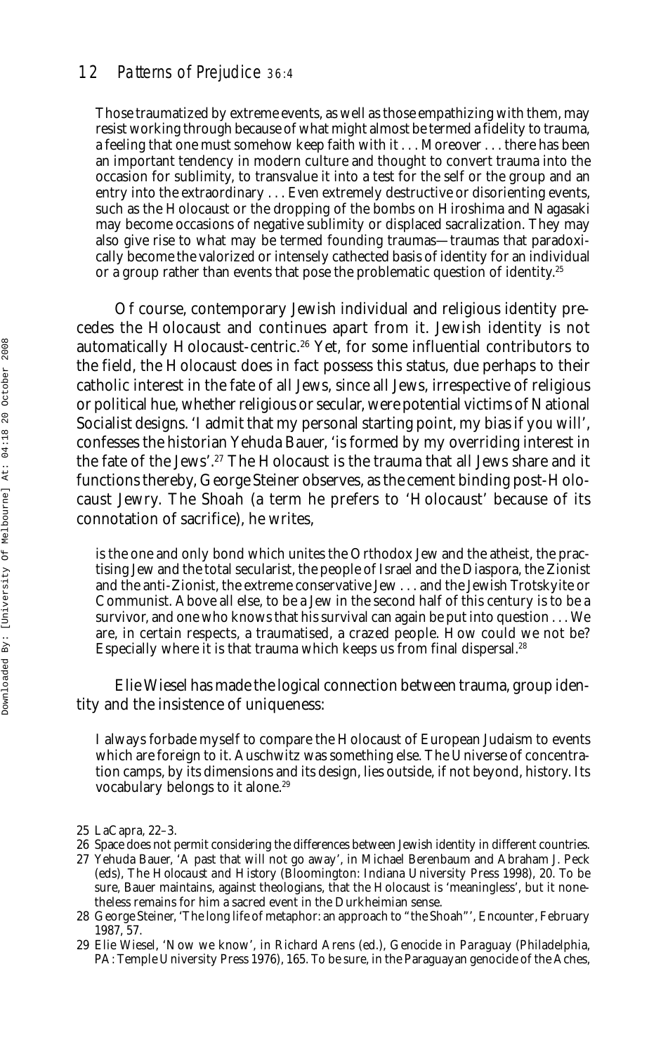#### 12 Patterns of Prejudice 36:4

Those traumatized by extreme events, as well as those empathizing with them, may resist working through because of what might almost be termed a fidelity to trauma, a feeling that one must somehow keep faith with it . . . Moreover . . . there has been an important tendency in modern culture and thought to convert trauma into the occasion for sublimity, to transvalue it into a test for the self or the group and an entry into the extraordinary . . . Even extremely destructive or disorienting events, such as the Holocaust or the dropping of the bombs on Hiroshima and Nagasaki may become occasions of negative sublimity or displaced sacralization. They may also give rise to what may be termed founding traumas—traumas that paradoxically become the valorized or intensely cathected basis of identity for an individual or a group rather than events that pose the problematic question of identity.25

Of course, contemporary Jewish individual and religious identity precedes the Holocaust and continues apart from it. Jewish identity is not automatically Holocaust-centric.<sup>26</sup> Yet, for some influential contributors to the field, the Holocaust does in fact possess this status, due perhaps to their catholic interest in the fate of all Jews, since all Jews, irrespective of religious or political hue, whether religious or secular, were potential victims of National Socialist designs. 'I admit that my personal starting point, my bias if you will', confesses the historian Yehuda Bauer, 'is formed by my overriding interest in the fate of the Jews'.27 The Holocaust is the trauma that all Jews share and it functions thereby, George Steiner observes, as the cement binding post-Holocaust Jewry. The *Shoah* (a term he prefers to 'Holocaust' because of its connotation of sacrifice), he writes,

is the one and only bond which unites the Orthodox Jew and the atheist, the practising Jew and the total secularist, the people of Israel and the Diaspora, the Zionist and the anti-Zionist, the extreme conservative Jew . . . and the Jewish Trotskyite or Communist. Above all else, to be a Jew in the second half of this century is to be a survivor, and one who knows that his survival can again be put into question . . . We are, in certain respects, a traumatised, a crazed people. How could we not be? Especially where it is that trauma which keeps us from final dispersal.<sup>28</sup>

Elie Wiesel has made the logical connection between trauma, group identity and the insistence of uniqueness:

I always forbade myself to compare the Holocaust of European Judaism to events which are foreign to it. Auschwitz was something else. The Universe of concentration camps, by its dimensions and its design, lies outside, if not beyond, history. Its vocabulary belongs to it alone.<sup>29</sup>

- 25 LaCapra, 22–3.
- 26 Space does not permit considering the differences between Jewish identity in different countries.
- 27 Yehuda Bauer, 'A past that will not go away', in Michael Berenbaum and Abraham J. Peck (eds), *The Holocaust and History* (Bloomington: Indiana University Press 1998), 20. To be sure, Bauer maintains, against theologians, that the Holocaust is 'meaningless', but it nonetheless remains for him a sacred event in the Durkheimian sense.
- 28 George Steiner, 'The long life of metaphor: an approach to "the Shoah"', *Encounter*, February 1987, 57.
- 29 Elie Wiesel, 'Now we know', in Richard Arens (ed.), *Genocide in Paraguay* (Philadelphia, PA: Temple University Press 1976), 165. To be sure, in the Paraguayan genocide of the Aches,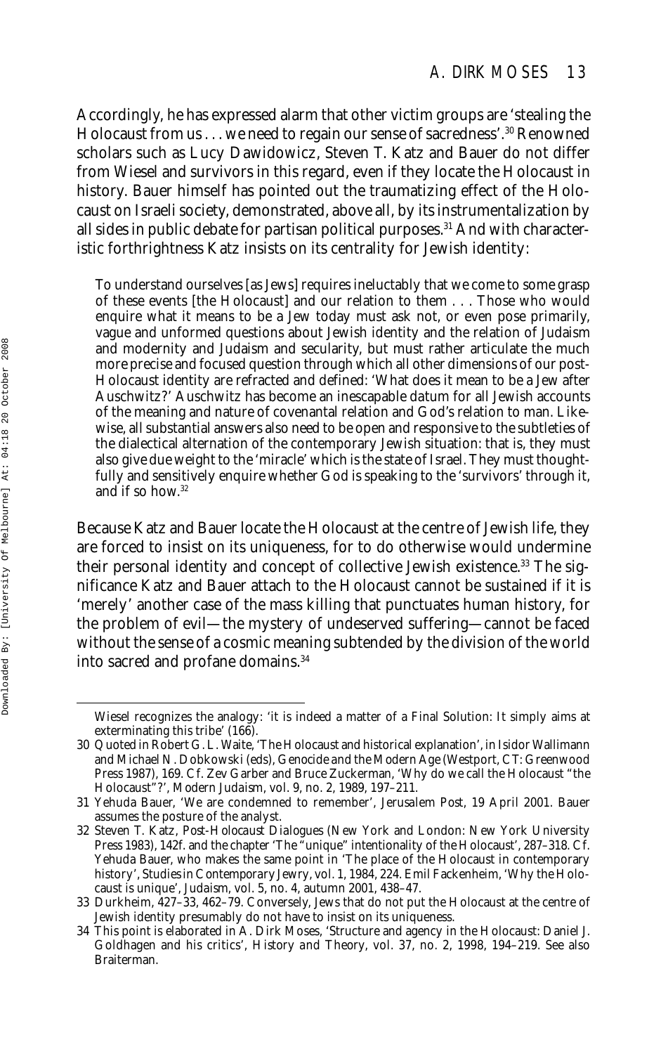Accordingly, he has expressed alarm that other victim groups are 'stealing the Holocaust from us . . . we need to regain our sense of sacredness'.<sup>30</sup> Renowned scholars such as Lucy Dawidowicz, Steven T. Katz and Bauer do not differ from Wiesel and survivors in this regard, even if they locate the Holocaust in history. Bauer himself has pointed out the traumatizing effect of the Holocaust on Israeli society, demonstrated, above all, by its instrumentalization by all sides in public debate for partisan political purposes.<sup>31</sup> And with characteristic forthrightness Katz insists on its centrality for Jewish identity:

To understand ourselves [as Jews] requires ineluctably that we come to some grasp of these events [the Holocaust] and our relation to them . . . Those who would enquire what it means to be a Jew today must ask not, or even pose primarily, vague and unformed questions about Jewish identity and the relation of Judaism and modernity and Judaism and secularity, but must rather articulate the much more precise and focused question through which all other dimensions of our post-Holocaust identity are refracted and defined: 'What does it mean to be a Jew after Auschwitz?' Auschwitz has become an inescapable *datum* for all Jewish accounts of the meaning and nature of covenantal relation and God's relation to man. Likewise, all substantial answers also need to be open and responsive to the subtleties of the dialectical alternation of the contemporary Jewish situation: that is, they must also give due weight to the 'miracle' which is the state of Israel. They must thoughtfully and sensitively enquire whether God is speaking to the 'survivors' through it, and if so how. $32$ 

Because Katz and Bauer locate the Holocaust at the centre of Jewish life, they are forced to insist on its uniqueness, for to do otherwise would undermine their personal identity and concept of collective Jewish existence.<sup>33</sup> The significance Katz and Bauer attach to the Holocaust cannot be sustained if it is 'merely' another case of the mass killing that punctuates human history, for the problem of evil—the mystery of undeserved suffering—cannot be faced without the sense of a cosmic meaning subtended by the division of the world into sacred and profane domains.<sup>34</sup>

Wiesel recognizes the analogy: 'it is indeed a matter of a Final Solution: It simply aims at exterminating this tribe' (166).

<sup>30</sup> Quoted in Robert G. L. Waite, 'The Holocaust and historical explanation', in Isidor Wallimann and Michael N. Dobkowski (eds), *Genocide and the Modern Age* (Westport, CT: Greenwood Press 1987), 169. Cf. Zev Garber and Bruce Zuckerman, 'Why do we call the Holocaust "the Holocaust"?', *Modern Judaism*, vol. 9, no. 2, 1989, 197–211.

<sup>31</sup> Yehuda Bauer, 'We are condemned to remember', *Jerusalem Post*, 19 April 2001. Bauer assumes the posture of the analyst.

<sup>32</sup> Steven T. Katz, *Post-Holocaust Dialogues* (New York and London: New York University Press 1983), 142f. and the chapter 'The "unique" intentionality of the Holocaust', 287–318. Cf. Yehuda Bauer, who makes the same point in 'The place of the Holocaust in contemporary history', *Studies in Contemporary Jewry*, vol. 1, 1984, 224. Emil Fackenheim, 'Why the Holocaust is unique', *Judaism*, vol. 5, no. 4, autumn 2001, 438–47.

<sup>33</sup> Durkheim, 427–33, 462–79. Conversely, Jews that do not put the Holocaust at the centre of Jewish identity presumably do not have to insist on its uniqueness.

<sup>34</sup> This point is elaborated in A. Dirk Moses, 'Structure and agency in the Holocaust: Daniel J. Goldhagen and his critics', *History and Theory*, vol. 37, no. 2, 1998, 194–219. See also Braiterman.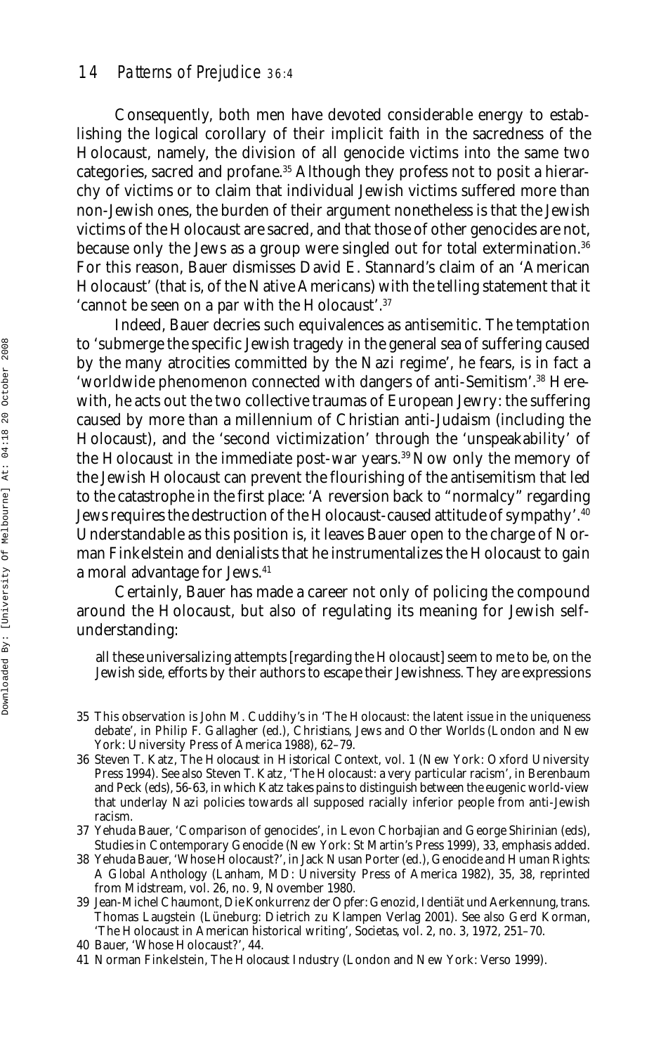Consequently, both men have devoted considerable energy to establishing the logical corollary of their implicit faith in the sacredness of the Holocaust, namely, the division of all genocide victims into the same two categories, sacred and profane.<sup>35</sup> Although they profess not to posit a hierarchy of victims or to claim that individual Jewish victims suffered more than non-Jewish ones, the burden of their argument nonetheless is that the Jewish victims of the Holocaust are sacred, and that those of other genocides are not, because only the Jews as a group were singled out for total extermination.<sup>36</sup> For this reason, Bauer dismisses David E. Stannard's claim of an 'American Holocaust' (that is, of the Native Americans) with the telling statement that it 'cannot be seen on *a par* with the Holocaust'.37

Indeed, Bauer decries such equivalences as antisemitic. The temptation to 'submerge the specific Jewish tragedy in the general sea of suffering caused by the many atrocities committed by the Nazi regime', he fears, is in fact a 'worldwide phenomenon connected with dangers of anti-Semitism'.38 Herewith, he acts out the two collective traumas of European Jewry: the suffering caused by more than a millennium of Christian anti-Judaism (including the Holocaust), and the 'second victimization' through the 'unspeakability' of the Holocaust in the immediate post-war years.39 Now only the memory of the Jewish Holocaust can prevent the flourishing of the antisemitism that led to the catastrophe in the first place: 'A reversion back to "normalcy" regarding Jews requires the destruction of the Holocaust-caused attitude of sympathy'.<sup>40</sup> Understandable as this position is, it leaves Bauer open to the charge of Norman Finkelstein and denialists that he instrumentalizes the Holocaust to gain a moral advantage for Jews.<sup>41</sup>

Certainly, Bauer has made a career not only of policing the compound around the Holocaust, but also of regulating its meaning for Jewish selfunderstanding:

all these universalizing attempts [regarding the Holocaust] seem to me to be, on the Jewish side, efforts by their authors to escape their Jewishness. They are expressions

- 35 This observation is John M. Cuddihy's in 'The Holocaust: the latent issue in the uniqueness debate', in Philip F. Gallagher (ed.), *Christians, Jews and Other Worlds* (London and New York: University Press of America 1988), 62–79.
- 36 Steven T. Katz, *The Holocaust in Historical Context*, vol. 1 (New York: Oxford University Press 1994). See also Steven T. Katz, 'The Holocaust: a very particular racism', in Berenbaum and Peck (eds), 56-63, in which Katz takes pains to distinguish between the eugenic world-view that underlay Nazi policies towards all supposed racially inferior people from anti-Jewish racism.
- 37 Yehuda Bauer, 'Comparison of genocides', in Levon Chorbajian and George Shirinian (eds), *Studies in Contemporary Genocide* (New York: St Martin's Press 1999), 33, emphasis added.
- 38 Yehuda Bauer, 'Whose Holocaust?', in Jack Nusan Porter (ed.), *Genocide and Human Rights: A Global Anthology* (Lanham, MD: University Press of America 1982), 35, 38, reprinted from *Midstream*, vol. 26, no. 9, November 1980.
- 39 Jean-Michel Chaumont, *Die Konkurrenz der Opfer: Genozid, Identiät und Aerkennung*, trans. Thomas Laugstein (Lüneburg: Dietrich zu Klampen Verlag 2001). See also Gerd Korman, 'The Holocaust in American historical writing', *Societas*, vol. 2, no. 3, 1972, 251–70.

41 Norman Finkelstein, *The Holocaust Industry* (London and New York: Verso 1999).

<sup>40</sup> Bauer, 'Whose Holocaust?', 44.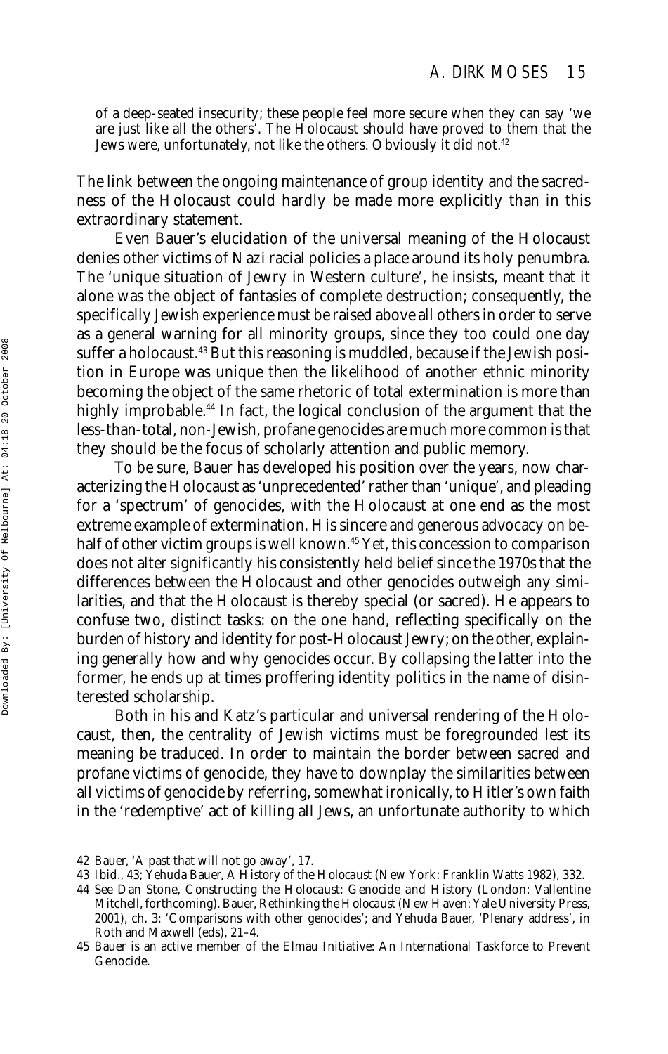of a deep-seated insecurity; these people feel more secure when they can say 'we are just like all the others'. The Holocaust should have proved to them that the Jews were, unfortunately, not like the others. Obviously it did not.<sup>42</sup>

The link between the ongoing maintenance of group identity and the sacredness of the Holocaust could hardly be made more explicitly than in this extraordinary statement.

Even Bauer's elucidation of the universal meaning of the Holocaust denies other victims of Nazi racial policies a place around its holy penumbra. The 'unique situation of Jewry in Western culture', he insists, meant that it alone was the object of fantasies of complete destruction; consequently, the specifically Jewish experience must be raised above all others in order to serve as a general warning for all minority groups, since they too could one day suffer a holocaust.<sup>43</sup> But this reasoning is muddled, because if the Jewish position in Europe was unique then the likelihood of another ethnic minority becoming the object of the same rhetoric of total extermination is more than highly improbable.<sup>44</sup> In fact, the logical conclusion of the argument that the less-than-total, non-Jewish, profane genocides are much more common is that they should be the focus of scholarly attention and public memory.

To be sure, Bauer has developed his position over the years, now characterizing the Holocaust as 'unprecedented' rather than 'unique', and pleading for a 'spectrum' of genocides, with the Holocaust at one end as the most extreme example of extermination. His sincere and generous advocacy on behalf of other victim groups is well known.<sup>45</sup> Yet, this concession to comparison does not alter significantly his consistently held belief since the 1970s that the differences between the Holocaust and other genocides outweigh any similarities, and that the Holocaust is thereby special (or sacred). He appears to confuse two, distinct tasks: on the one hand, reflecting specifically on the burden of history and identity for post-Holocaust Jewry; on the other, explaining generally how and why genocides occur. By collapsing the latter into the former, he ends up at times proffering identity politics in the name of disinterested scholarship.

Both in his and Katz's particular and universal rendering of the Holocaust, then, the centrality of Jewish victims must be foregrounded lest its meaning be traduced. In order to maintain the border between sacred and profane victims of genocide, they have to downplay the similarities between all victims of genocide by referring, somewhat ironically, to Hitler's own faith in the 'redemptive' act of killing all Jews, an unfortunate authority to which

<sup>42</sup> Bauer, 'A past that will not go away', 17.

<sup>43</sup> Ibid., 43; Yehuda Bauer, *A History of the Holocaust* (New York: Franklin Watts 1982), 332.

<sup>44</sup> See Dan Stone, *Constructing the Holocaust: Genocide and History* (London: Vallentine Mitchell, forthcoming). Bauer, *Rethinking the Holocaust* (New Haven: Yale University Press, 2001), ch. 3: 'Comparisons with other genocides'; and Yehuda Bauer, 'Plenary address', in Roth and Maxwell (eds), 21–4.

<sup>45</sup> Bauer is an active member of the Elmau Initiative: An International Taskforce to Prevent Genocide.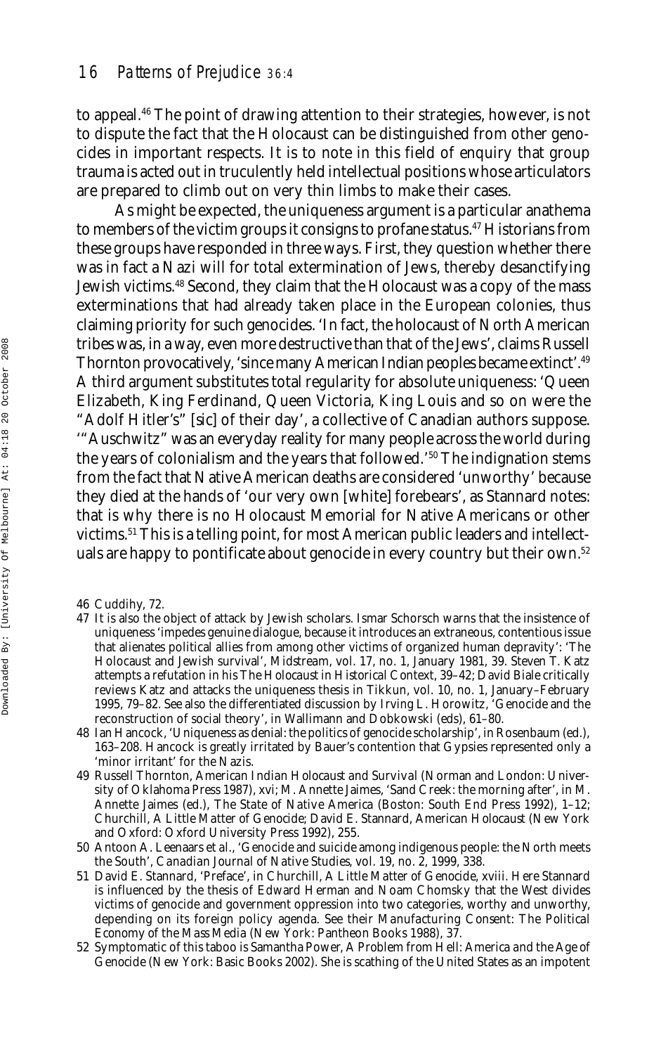to appeal.46 The point of drawing attention to their strategies, however, is not to dispute the fact that the Holocaust can be distinguished from other genocides in important respects. It is to note in this field of enquiry that group trauma is acted out in truculently held intellectual positions whose articulators are prepared to climb out on very thin limbs to make their cases.

As might be expected, the uniqueness argument is a particular anathema to members of the victim groups it consigns to profane status.47 Historians from these groups have responded in three ways. First, they question whether there was in fact a Nazi will for total extermination of Jews, thereby desanctifying Jewish victims.<sup>48</sup> Second, they claim that the Holocaust was a copy of the mass exterminations that had already taken place in the European colonies, thus claiming priority for such genocides. 'In fact, the holocaust of North American tribes was, in a way, even more destructive than that of the Jews', claims Russell Thornton provocatively, 'since many American Indian peoples became extinct'.49 A third argument substitutes total regularity for absolute uniqueness: 'Queen Elizabeth, King Ferdinand, Queen Victoria, King Louis and so on were the "Adolf Hitler's" [*sic*] of their day', a collective of Canadian authors suppose. '"Auschwitz" was an everyday reality for many people across the world during the years of colonialism and the years that followed.'50 The indignation stems from the fact that Native American deaths are considered 'unworthy' because they died at the hands of 'our very own [white] forebears', as Stannard notes: that is why there is no Holocaust Memorial for Native Americans or other victims.51 This is a telling point, for most American public leaders and intellectuals are happy to pontificate about genocide in every country but their own.<sup>52</sup>

- 46 Cuddihy, 72.
- 47 It is also the object of attack by Jewish scholars. Ismar Schorsch warns that the insistence of uniqueness 'impedes genuine dialogue, because it introduces an extraneous, contentious issue that alienates political allies from among other victims of organized human depravity': 'The Holocaust and Jewish survival', *Midstream*, vol. 17, no. 1, January 1981, 39. Steven T. Katz attempts a refutation in his *The Holocaust in Historical Context*, 39–42; David Biale critically reviews Katz and attacks the uniqueness thesis in *Tikkun*, vol. 10, no. 1, January–February 1995, 79–82. See also the differentiated discussion by Irving L. Horowitz, 'Genocide and the reconstruction of social theory', in Wallimann and Dobkowski (eds), 61–80.
- 48 Ian Hancock, 'Uniqueness as denial: the politics of genocide scholarship', in Rosenbaum (ed.), 163–208. Hancock is greatly irritated by Bauer's contention that Gypsies represented only a 'minor irritant' for the Nazis.
- 49 Russell Thornton, *American Indian Holocaust and Survival* (Norman and London: University of Oklahoma Press 1987), xvi; M. Annette Jaimes, 'Sand Creek: the morning after', in M. Annette Jaimes (ed.), *The State of Native America* (Boston: South End Press 1992), 1–12; Churchill, *A Little Matter of Genocide*; David E. Stannard, *American Holocaust* (New York and Oxford: Oxford University Press 1992), 255.
- 50 Antoon A. Leenaars *et al.*, 'Genocide and suicide among indigenous people: the North meets the South', *Canadian Journal of Native Studies*, vol. 19, no. 2, 1999, 338.
- 51 David E. Stannard, 'Preface', in Churchill, *A Little Matter of Genocide*, xviii. Here Stannard is influenced by the thesis of Edward Herman and Noam Chomsky that the West divides victims of genocide and government oppression into two categories, worthy and unworthy, depending on its foreign policy agenda. See their *Manufacturing Consent: The Political Economy of the Mass Media* (New York: Pantheon Books 1988), 37.
- 52 Symptomatic of this taboo is Samantha Power, *A Problem from Hell: America and the Age of Genocide* (New York: Basic Books 2002). She is scathing of the United States as an impotent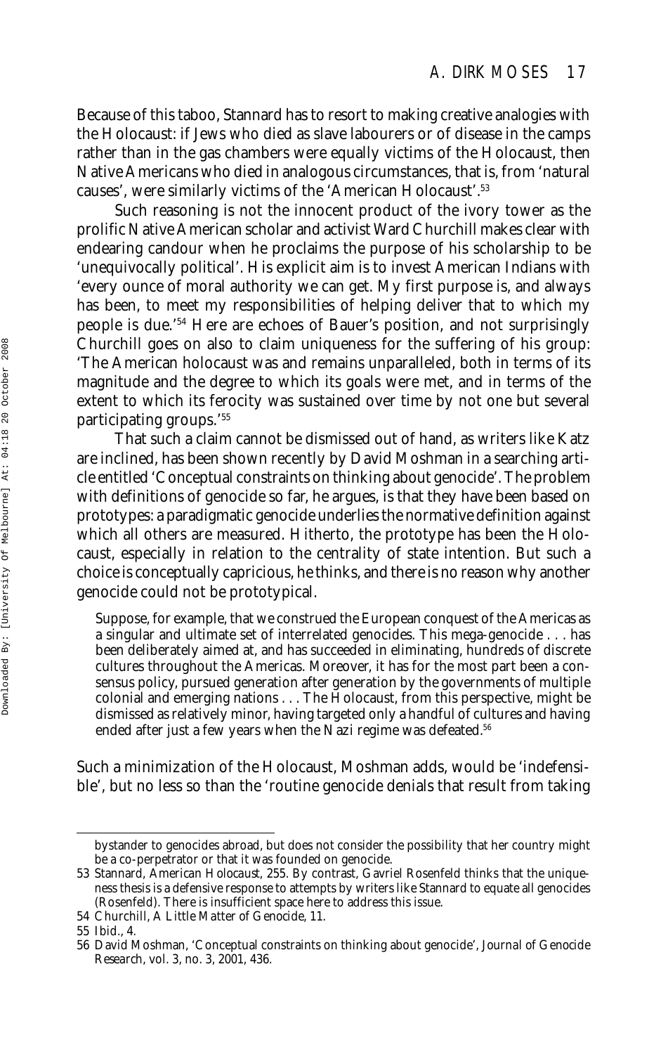Because of this taboo, Stannard has to resort to making creative analogies with the Holocaust: if Jews who died as slave labourers or of disease in the camps rather than in the gas chambers were equally victims of the Holocaust, then Native Americans who died in analogous circumstances, that is, from 'natural causes', were similarly victims of the 'American Holocaust'.53

Such reasoning is not the innocent product of the ivory tower as the prolific Native American scholar and activist Ward Churchill makes clear with endearing candour when he proclaims the purpose of his scholarship to be 'unequivocally political'. His explicit aim is to invest American Indians with 'every ounce of moral authority we can get. My first purpose is, and always has been, to meet my responsibilities of helping deliver that to which my people is due.'54 Here are echoes of Bauer's position, and not surprisingly Churchill goes on also to claim uniqueness for the suffering of his group: 'The American holocaust was and remains unparalleled, both in terms of its magnitude and the degree to which its goals were met, and in terms of the extent to which its ferocity was sustained over time by not one but several participating groups.'55

That such a claim cannot be dismissed out of hand, as writers like Katz are inclined, has been shown recently by David Moshman in a searching article entitled 'Conceptual constraints on thinking about genocide'. The problem with definitions of genocide so far, he argues, is that they have been based on prototypes: a paradigmatic genocide underlies the normative definition against which all others are measured. Hitherto, the prototype has been the Holocaust, especially in relation to the centrality of state intention. But such a choice is conceptually capricious, he thinks, and there is no reason why another genocide could not be prototypical.

Suppose, for example, that we construed the European conquest of the Americas as a singular and ultimate set of interrelated genocides. This mega-genocide . . . has been deliberately aimed at, and has succeeded in eliminating, hundreds of discrete cultures throughout the Americas. Moreover, it has for the most part been a consensus policy, pursued generation after generation by the governments of multiple colonial and emerging nations . . . The Holocaust, from this perspective, might be dismissed as relatively minor, having targeted only a handful of cultures and having ended after just a few years when the Nazi regime was defeated.<sup>56</sup>

Such a minimization of the Holocaust, Moshman adds, would be 'indefensible', but no less so than the 'routine genocide denials that result from taking

54 Churchill, *A Little Matter of Genocide*, 11.

bystander to genocides abroad, but does not consider the possibility that her country might be a co-perpetrator or that it was founded on genocide.

<sup>53</sup> Stannard, *American Holocaust*, 255. By contrast, Gavriel Rosenfeld thinks that the uniqueness thesis is a defensive response to attempts by writers like Stannard to equate all genocides (Rosenfeld). There is insufficient space here to address this issue.

<sup>55</sup> Ibid., 4.

<sup>56</sup> David Moshman, 'Conceptual constraints on thinking about genocide', *Journal of Genocide Research*, vol. 3, no. 3, 2001, 436.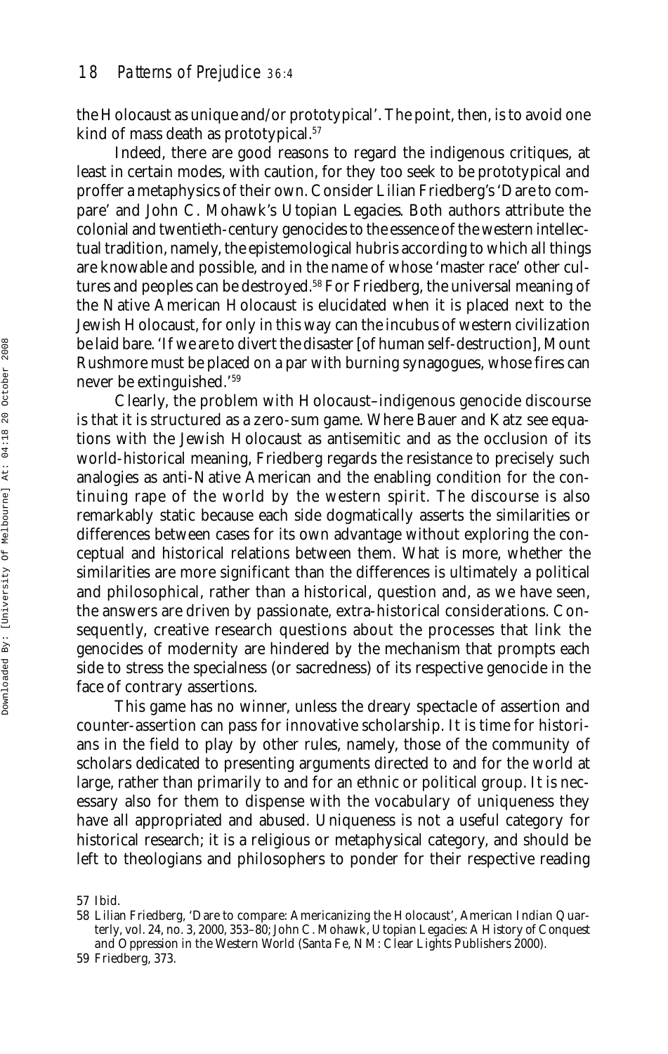the Holocaust as unique and/or prototypical'. The point, then, is to avoid one kind of mass death as prototypical.<sup>57</sup>

Indeed, there are good reasons to regard the indigenous critiques, at least in certain modes, with caution, for they too seek to be prototypical and proffer a metaphysics of their own. Consider Lilian Friedberg's 'Dare to compare' and John C. Mohawk's *Utopian Legacies*. Both authors attribute the colonial and twentieth-century genocides to the essence of the western intellectual tradition, namely, the epistemological hubris according to which all things are knowable and possible, and in the name of whose 'master race' other cultures and peoples can be destroyed.<sup>58</sup> For Friedberg, the universal meaning of the Native American Holocaust is elucidated when it is placed next to the Jewish Holocaust, for only in this way can the incubus of western civilization be laid bare. 'If we are to divert the disaster [of human self-destruction], Mount Rushmore must be placed on a par with burning synagogues, whose fires can never be extinguished.'59

Clearly, the problem with Holocaust–indigenous genocide discourse is that it is structured as a zero-sum game. Where Bauer and Katz see equations with the Jewish Holocaust as antisemitic and as the occlusion of its world-historical meaning, Friedberg regards the resistance to precisely such analogies as anti-Native American and the enabling condition for the continuing rape of the world by the western spirit. The discourse is also remarkably static because each side dogmatically asserts the similarities or differences between cases for its own advantage without exploring the conceptual and historical relations between them. What is more, whether the similarities are more significant than the differences is ultimately a political and philosophical, rather than a historical, question and, as we have seen, the answers are driven by passionate, extra-historical considerations. Consequently, creative research questions about the processes that link the genocides of modernity are hindered by the mechanism that prompts each side to stress the specialness (or sacredness) of its respective genocide in the face of contrary assertions.

This game has no winner, unless the dreary spectacle of assertion and counter-assertion can pass for innovative scholarship. It is time for historians in the field to play by other rules, namely, those of the community of scholars dedicated to presenting arguments directed to and for the world at large, rather than primarily to and for an ethnic or political group. It is necessary also for them to dispense with the vocabulary of uniqueness they have all appropriated and abused. Uniqueness is not a useful category for historical research; it is a religious or metaphysical category, and should be left to theologians and philosophers to ponder for their respective reading

<sup>57</sup> Ibid.

<sup>58</sup> Lilian Friedberg, 'Dare to compare: Americanizing the Holocaust', *American Indian Quarterly*, vol. 24, no. 3, 2000, 353–80; John C. Mohawk, *Utopian Legacies: A History of Conquest and Oppression in the Western World* (Santa Fe, NM: Clear Lights Publishers 2000).

<sup>59</sup> Friedberg, 373.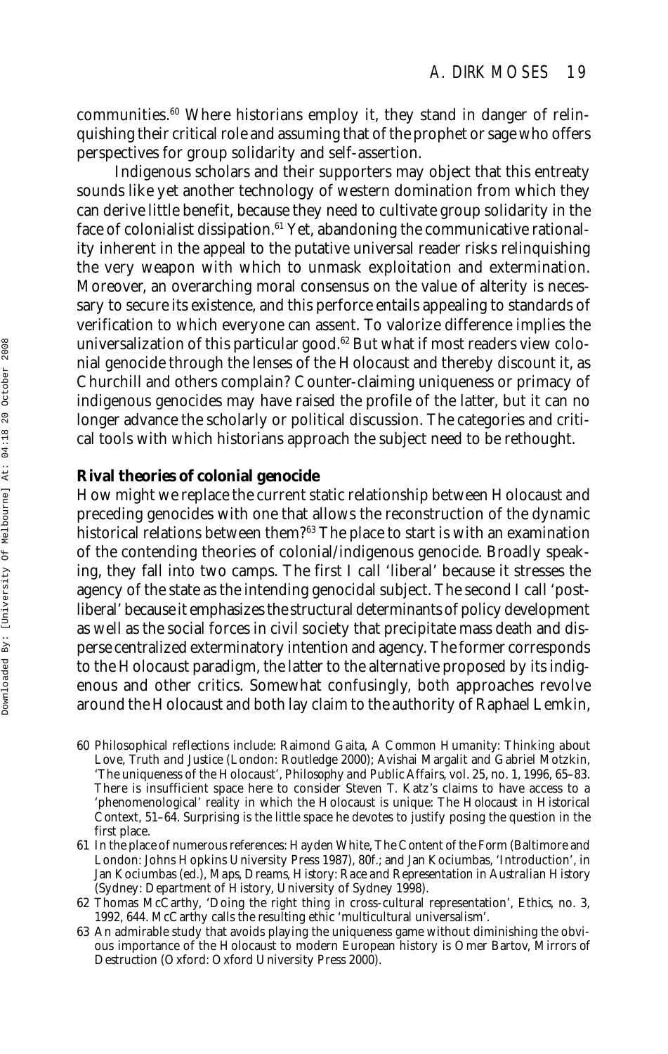communities.60 Where historians employ it, they stand in danger of relinquishing their critical role and assuming that of the prophet or sage who offers perspectives for group solidarity and self-assertion.

Indigenous scholars and their supporters may object that this entreaty sounds like yet another technology of western domination from which they can derive little benefit, because they need to cultivate group solidarity in the face of colonialist dissipation.<sup>61</sup> Yet, abandoning the communicative rationality inherent in the appeal to the putative universal reader risks relinquishing the very weapon with which to unmask exploitation and extermination. Moreover, an overarching moral consensus on the value of alterity is necessary to secure its existence, and this perforce entails appealing to standards of verification to which everyone can assent. To valorize difference implies the universalization of this particular good.<sup>62</sup> But what if most readers view colonial genocide through the lenses of the Holocaust and thereby discount it, as Churchill and others complain? Counter-claiming uniqueness or primacy of indigenous genocides may have raised the profile of the latter, but it can no longer advance the scholarly or political discussion. The categories and critical tools with which historians approach the subject need to be rethought.

#### **Rival theories of colonial genocide**

How might we replace the current static relationship between Holocaust and preceding genocides with one that allows the reconstruction of the dynamic historical relations between them?<sup>63</sup> The place to start is with an examination of the contending theories of colonial/indigenous genocide. Broadly speaking, they fall into two camps. The first I call 'liberal' because it stresses the agency of the state as the intending genocidal subject. The second I call 'postliberal' because it emphasizes the structural determinants of policy development as well as the social forces in civil society that precipitate mass death and disperse centralized exterminatory intention and agency. The former corresponds to the Holocaust paradigm, the latter to the alternative proposed by its indigenous and other critics. Somewhat confusingly, both approaches revolve around the Holocaust and both lay claim to the authority of Raphael Lemkin,

<sup>60</sup> Philosophical reflections include: Raimond Gaita, *A Common Humanity: Thinking about Love, Truth and Justice* (London: Routledge 2000); Avishai Margalit and Gabriel Motzkin, 'The uniqueness of the Holocaust', *Philosophy and Public Affairs*, vol. 25, no. 1, 1996, 65–83. There is insufficient space here to consider Steven T. Katz's claims to have access to a 'phenomenological' reality in which the Holocaust is unique: *The Holocaust in Historical Context*, 51–64. Surprising is the little space he devotes to justify posing the question in the first place.

<sup>61</sup> In the place of numerous references: Hayden White, *The Content of the Form* (Baltimore and London: Johns Hopkins University Press 1987), 80f.; and Jan Kociumbas, 'Introduction', in Jan Kociumbas (ed.), *Maps, Dreams, History: Race and Representation in Australian History* (Sydney: Department of History, University of Sydney 1998).

<sup>62</sup> Thomas McCarthy, 'Doing the right thing in cross-cultural representation', *Ethics*, no. 3, 1992, 644. McCarthy calls the resulting ethic 'multicultural universalism'.

<sup>63</sup> An admirable study that avoids playing the uniqueness game without diminishing the obvious importance of the Holocaust to modern European history is Omer Bartov, *Mirrors of Destruction* (Oxford: Oxford University Press 2000).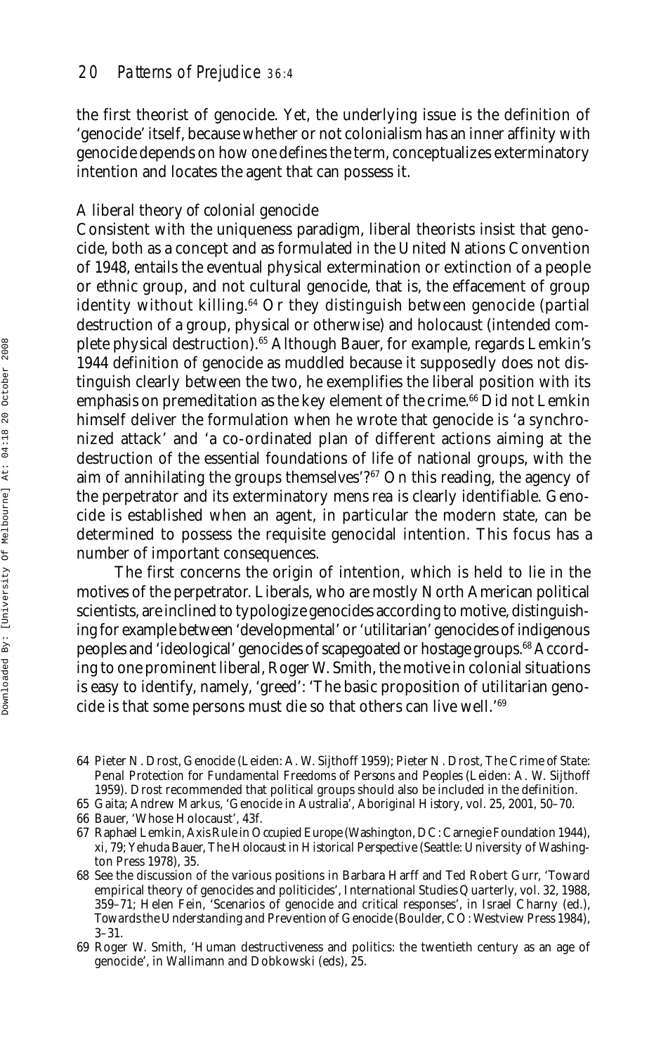the first theorist of genocide. Yet, the underlying issue is the definition of 'genocide' itself, because whether or not colonialism has an inner affinity with genocide depends on how one defines the term, conceptualizes exterminatory intention and locates the agent that can possess it.

#### *A liberal theory of colonial genocide*

Consistent with the uniqueness paradigm, liberal theorists insist that genocide, both as a concept and as formulated in the United Nations Convention of 1948, entails the eventual physical extermination or extinction of a people or ethnic group, and not cultural genocide, that is, the effacement of group identity without killing.<sup>64</sup> Or they distinguish between genocide (partial destruction of a group, physical or otherwise) and holocaust (intended complete physical destruction).<sup>65</sup> Although Bauer, for example, regards Lemkin's 1944 definition of genocide as muddled because it supposedly does not distinguish clearly between the two, he exemplifies the liberal position with its emphasis on premeditation as the key element of the crime.<sup>66</sup> Did not Lemkin himself deliver the formulation when he wrote that genocide is 'a synchronized attack' and 'a co-ordinated plan of different actions aiming at the destruction of the essential foundations of life of national groups, with the aim of annihilating the groups themselves'?<sup>67</sup> On this reading, the agency of the perpetrator and its exterminatory *mens rea* is clearly identifiable. Genocide is established when an agent, in particular the modern state, can be determined to possess the requisite genocidal intention. This focus has a number of important consequences.

The first concerns the origin of intention, which is held to lie in the motives of the perpetrator. Liberals, who are mostly North American political scientists, are inclined to typologize genocides according to motive, distinguishing for example between 'developmental' or 'utilitarian' genocides of indigenous peoples and 'ideological' genocides of scapegoated or hostage groups.68 According to one prominent liberal, Roger W. Smith, the motive in colonial situations is easy to identify, namely, 'greed': 'The basic proposition of utilitarian genocide is that some persons must die so that others can live well.'69

- 65 Gaita; Andrew Markus, 'Genocide in Australia', *Aboriginal History*, vol. 25, 2001, 50–70.
- 66 Bauer, 'Whose Holocaust', 43f.
- 67 Raphael Lemkin, *Axis Rule in Occupied Europe* (Washington, DC: Carnegie Foundation 1944), xi, 79; Yehuda Bauer, *The Holocaust in Historical Perspective* (Seattle: University of Washington Press 1978), 35.
- 68 See the discussion of the various positions in Barbara Harff and Ted Robert Gurr, 'Toward empirical theory of genocides and politicides', *International Studies Quarterly*, vol. 32, 1988, 359–71; Helen Fein, 'Scenarios of genocide and critical responses', in Israel Charny (ed.), *Towards the Understanding and Prevention of Genocide* (Boulder, CO: Westview Press 1984), 3–31.
- 69 Roger W. Smith, 'Human destructiveness and politics: the twentieth century as an age of genocide', in Wallimann and Dobkowski (eds), 25.

<sup>64</sup> Pieter N. Drost, *Genocide* (Leiden: A. W. Sijthoff 1959); Pieter N. Drost, *The Crime of State: Penal Protection for Fundamental Freedoms of Persons and Peoples* (Leiden: A. W. Sijthoff 1959). Drost recommended that political groups should also be included in the definition.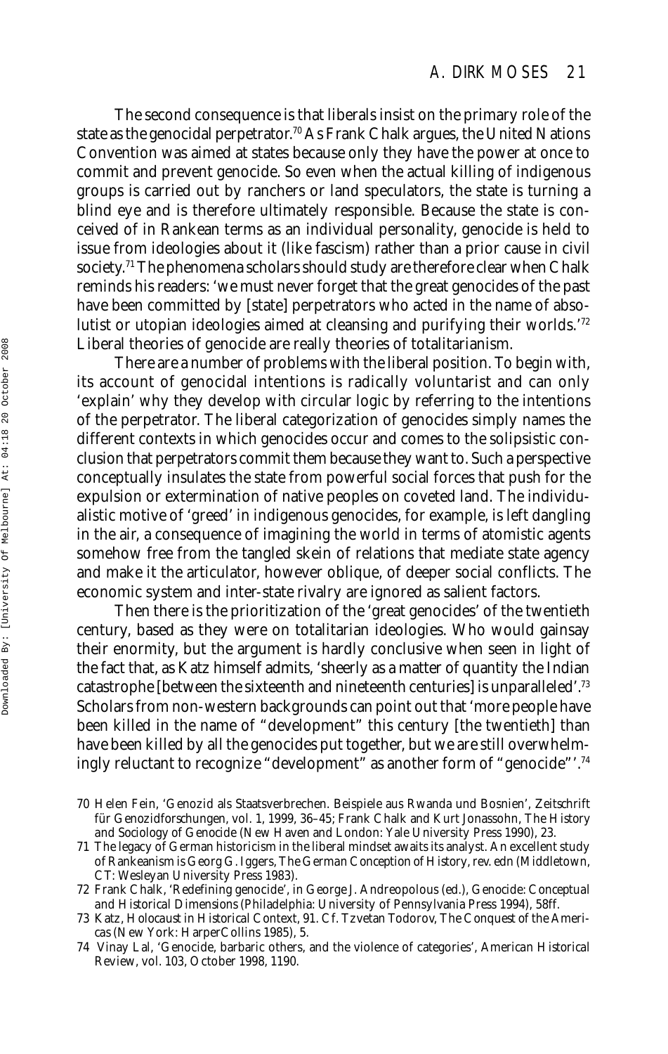The second consequence is that liberals insist on the primary role of the state as the genocidal perpetrator.<sup>70</sup> As Frank Chalk argues, the United Nations Convention was aimed at states because only they have the power at once to commit and prevent genocide. So even when the actual killing of indigenous groups is carried out by ranchers or land speculators, the state is turning a blind eye and is therefore ultimately responsible. Because the state is conceived of in Rankean terms as an individual personality, genocide is held to issue from ideologies about it (like fascism) rather than a prior cause in civil society.<sup>71</sup> The phenomena scholars should study are therefore clear when Chalk reminds his readers: 'we must never forget that the great genocides of the past have been committed by [state] perpetrators who acted in the name of absolutist or utopian ideologies aimed at cleansing and purifying their worlds.'72 Liberal theories of genocide are really theories of totalitarianism.

There are a number of problems with the liberal position. To begin with, its account of genocidal intentions is radically voluntarist and can only 'explain' why they develop with circular logic by referring to the intentions of the perpetrator. The liberal categorization of genocides simply names the different contexts in which genocides occur and comes to the solipsistic conclusion that perpetrators commit them because they want to. Such a perspective conceptually insulates the state from powerful social forces that push for the expulsion or extermination of native peoples on coveted land. The individualistic motive of 'greed' in indigenous genocides, for example, is left dangling in the air, a consequence of imagining the world in terms of atomistic agents somehow free from the tangled skein of relations that mediate state agency and make it the articulator, however oblique, of deeper social conflicts. The economic system and inter-state rivalry are ignored as salient factors.

Then there is the prioritization of the 'great genocides' of the twentieth century, based as they were on totalitarian ideologies. Who would gainsay their enormity, but the argument is hardly conclusive when seen in light of the fact that, as Katz himself admits, 'sheerly as a matter of quantity the Indian catastrophe [between the sixteenth and nineteenth centuries] is unparalleled'.73 Scholars from non-western backgrounds can point out that 'more people have been killed in the name of "development" this century [the twentieth] than have been killed by all the genocides put together, but we are still overwhelmingly reluctant to recognize "development" as another form of "genocide"'.<sup>74</sup>

<sup>70</sup> Helen Fein, 'Genozid als Staatsverbrechen. Beispiele aus Rwanda und Bosnien', *Zeitschrift für Genozidforschungen*, vol. 1, 1999, 36–45; Frank Chalk and Kurt Jonassohn, *The History and Sociology of Genocide* (New Haven and London: Yale University Press 1990), 23.

<sup>71</sup> The legacy of German historicism in the liberal mindset awaits its analyst. An excellent study of Rankeanism is Georg G. Iggers, *The German Conception of History*, rev. edn (Middletown, CT: Wesleyan University Press 1983).

<sup>72</sup> Frank Chalk, 'Redefining genocide', in George J. Andreopolous (ed.), *Genocide: Conceptual and Historical Dimensions* (Philadelphia: University of Pennsylvania Press 1994), 58ff.

<sup>73</sup> Katz, *Holocaust in Historical Context*, 91. Cf. Tzvetan Todorov, *The Conquest of the Americas* (New York: HarperCollins 1985), 5.

<sup>74</sup> Vinay Lal, 'Genocide, barbaric others, and the violence of categories', *American Historical Review*, vol. 103, October 1998, 1190.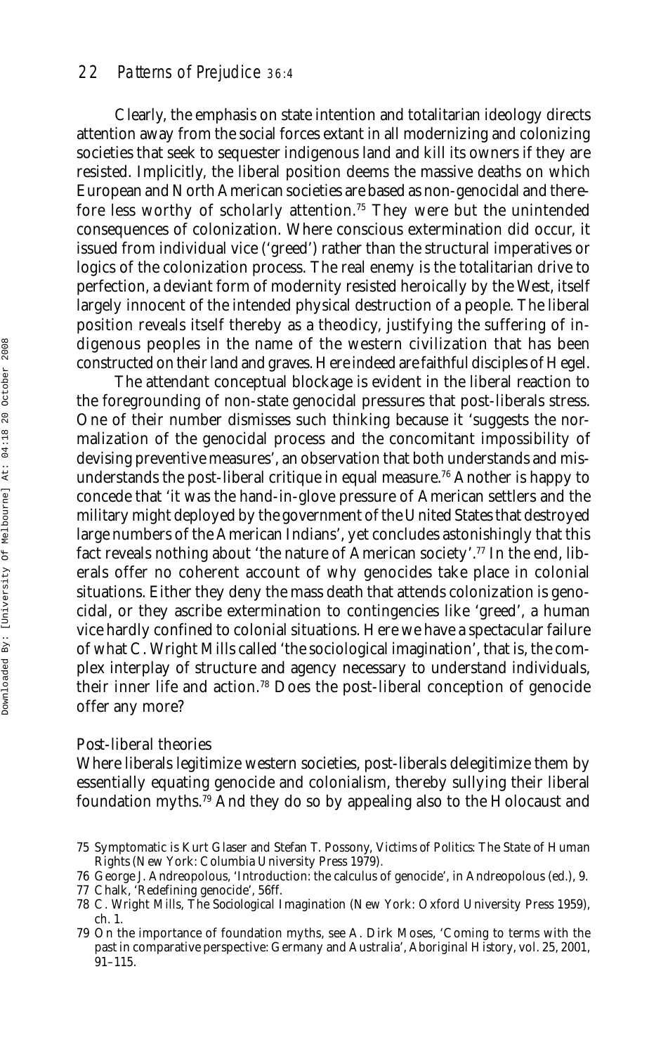### 22 Patterns of Prejudice 36:4

Clearly, the emphasis on state intention and totalitarian ideology directs attention away from the social forces extant in all modernizing and colonizing societies that seek to sequester indigenous land and kill its owners if they are resisted. Implicitly, the liberal position deems the massive deaths on which European and North American societies are based as non-genocidal and therefore less worthy of scholarly attention.<sup>75</sup> They were but the unintended consequences of colonization. Where conscious extermination did occur, it issued from individual vice ('greed') rather than the structural imperatives or logics of the colonization process. The real enemy is the totalitarian drive to perfection, a deviant form of modernity resisted heroically by the West, itself largely innocent of the intended physical destruction of a people. The liberal position reveals itself thereby as a theodicy, justifying the suffering of indigenous peoples in the name of the western civilization that has been constructed on their land and graves. Here indeed are faithful disciples of Hegel.

The attendant conceptual blockage is evident in the liberal reaction to the foregrounding of non-state genocidal pressures that post-liberals stress. One of their number dismisses such thinking because it 'suggests the normalization of the genocidal process and the concomitant impossibility of devising preventive measures', an observation that both understands and misunderstands the post-liberal critique in equal measure.<sup>76</sup> Another is happy to concede that 'it was the hand-in-glove pressure of American settlers and the military might deployed by the government of the United States that destroyed large numbers of the American Indians', yet concludes astonishingly that this fact reveals nothing about 'the nature of American society'.<sup>77</sup> In the end, liberals offer no coherent account of why genocides take place in colonial situations. Either they deny the mass death that attends colonization is genocidal, or they ascribe extermination to contingencies like 'greed', a human vice hardly confined to colonial situations. Here we have a spectacular failure of what C. Wright Mills called 'the sociological imagination', that is, the complex interplay of structure and agency necessary to understand individuals, their inner life and action.<sup>78</sup> Does the post-liberal conception of genocide offer any more?

#### *Post-liberal theories*

Where liberals legitimize western societies, post-liberals delegitimize them by essentially equating genocide and colonialism, thereby sullying their liberal foundation myths.79 And they do so by appealing also to the Holocaust and

<sup>75</sup> Symptomatic is Kurt Glaser and Stefan T. Possony, *Victims of Politics: The State of Human Rights* (New York: Columbia University Press 1979).

<sup>76</sup> George J. Andreopolous, 'Introduction: the calculus of genocide', in Andreopolous (ed.), 9.

<sup>77</sup> Chalk, 'Redefining genocide', 56ff.

<sup>78</sup> C. Wright Mills, *The Sociological Imagination* (New York: Oxford University Press 1959), ch. 1.

<sup>79</sup> On the importance of foundation myths, see A. Dirk Moses, 'Coming to terms with the past in comparative perspective: Germany and Australia', *Aboriginal History*, vol. 25, 2001, 91–115.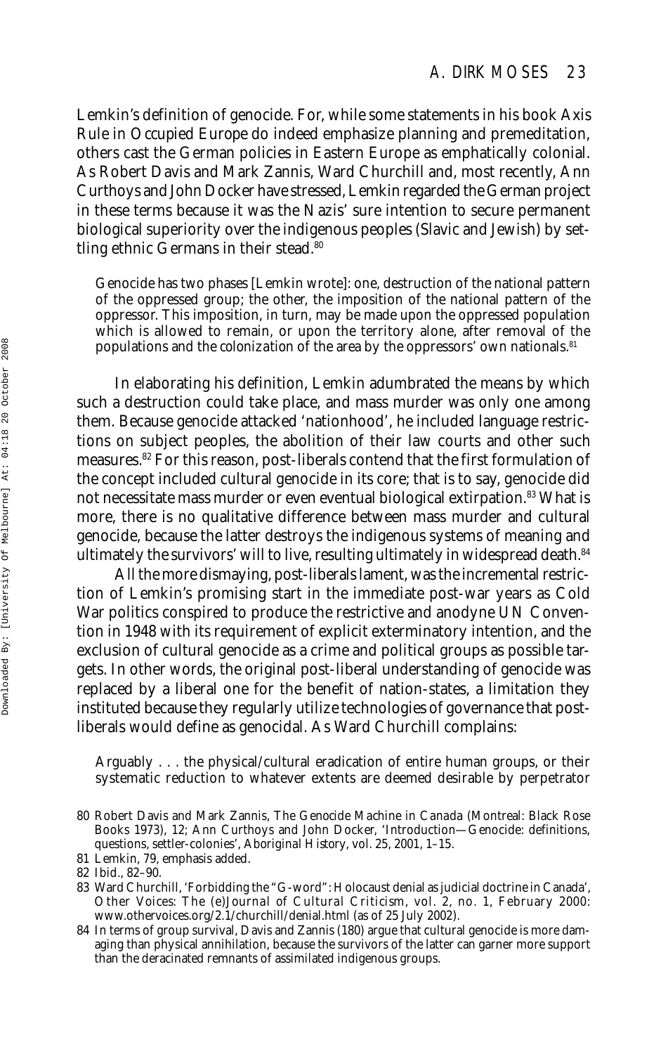Lemkin's definition of genocide. For, while some statements in his book *Axis Rule in Occupied Europe* do indeed emphasize planning and premeditation, others cast the German policies in Eastern Europe as emphatically colonial. As Robert Davis and Mark Zannis, Ward Churchill and, most recently, Ann Curthoys and John Docker have stressed, Lemkin regarded the German project in these terms because it was the Nazis' sure intention to secure permanent biological superiority over the indigenous peoples (Slavic and Jewish) by settling ethnic Germans in their stead.<sup>80</sup>

Genocide has two phases [Lemkin wrote]: one, destruction of the national pattern of the oppressed group; the other, the imposition of the national pattern of the oppressor. This imposition, in turn, may be made upon the oppressed population which is allowed to remain, or upon the territory alone, after removal of the populations and the *colonization* of the area by the oppressors' own nationals.81

In elaborating his definition, Lemkin adumbrated the means by which such a destruction could take place, and mass murder was only one among them. Because genocide attacked 'nationhood', he included language restrictions on subject peoples, the abolition of their law courts and other such measures.82 For this reason, post-liberals contend that the first formulation of the concept included cultural genocide in its core; that is to say, genocide did not necessitate mass murder or even eventual biological extirpation.<sup>83</sup> What is more, there is no qualitative difference between mass murder and cultural genocide, because the latter destroys the indigenous systems of meaning and ultimately the survivors' will to live, resulting ultimately in widespread death.<sup>84</sup>

All the more dismaying, post-liberals lament, was the incremental restriction of Lemkin's promising start in the immediate post-war years as Cold War politics conspired to produce the restrictive and anodyne UN Convention in 1948 with its requirement of explicit exterminatory intention, and the exclusion of cultural genocide as a crime and political groups as possible targets. In other words, the original post-liberal understanding of genocide was replaced by a liberal one for the benefit of nation-states, a limitation they instituted because they regularly utilize technologies of governance that postliberals would define as genocidal. As Ward Churchill complains:

Arguably . . . the physical/cultural eradication of entire human groups, or their systematic reduction to whatever extents are deemed desirable by perpetrator

<sup>80</sup> Robert Davis and Mark Zannis, *The Genocide Machine in Canada* (Montreal: Black Rose Books 1973), 12; Ann Curthoys and John Docker, 'Introduction—Genocide: definitions, questions, settler-colonies', *Aboriginal History*, vol. 25, 2001, 1–15.

<sup>81</sup> Lemkin, 79, emphasis added.

<sup>82</sup> Ibid., 82–90.

<sup>83</sup> Ward Churchill, 'Forbidding the "G-word": Holocaust denial as judicial doctrine in Canada', *Other Voices: The (e)Journal of Cultural Criticism*, vol. 2, no. 1, February 2000: www.othervoices.org/2.1/churchill/denial.html (as of 25 July 2002).

<sup>84</sup> In terms of group survival, Davis and Zannis (180) argue that cultural genocide is more damaging than physical annihilation, because the survivors of the latter can garner more support than the deracinated remnants of assimilated indigenous groups.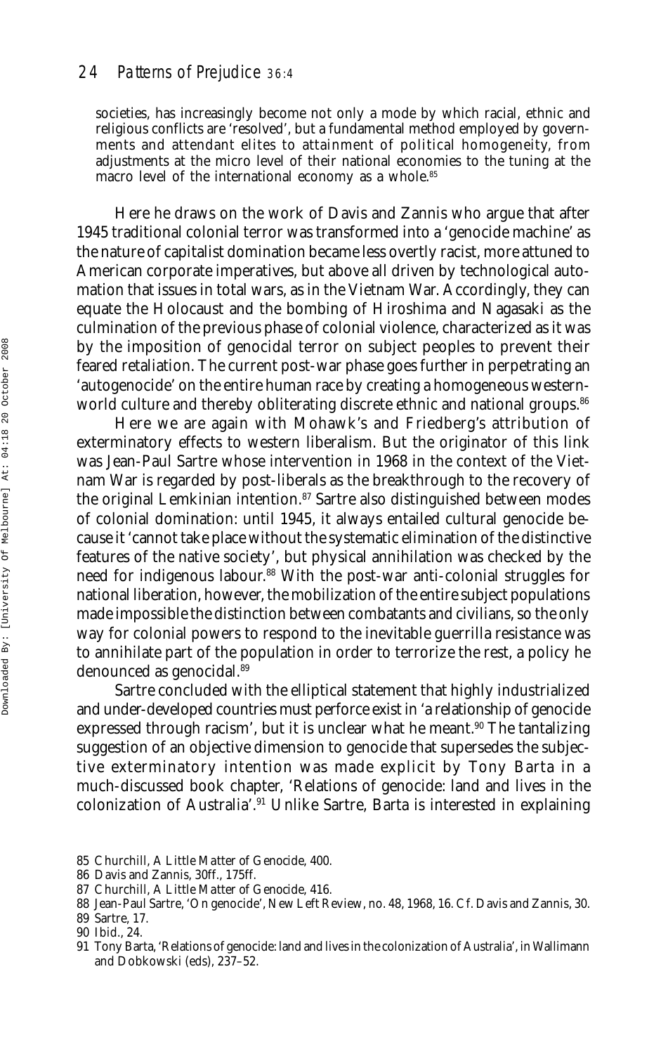societies, has increasingly become not only a mode by which racial, ethnic and religious conflicts are 'resolved', but a fundamental method employed by governments and attendant elites to attainment of political homogeneity, from adjustments at the micro level of their national economies to the tuning at the macro level of the international economy as a whole.<sup>85</sup>

Here he draws on the work of Davis and Zannis who argue that after 1945 traditional colonial terror was transformed into a 'genocide machine' as the nature of capitalist domination became less overtly racist, more attuned to American corporate imperatives, but above all driven by technological automation that issues in total wars, as in the Vietnam War. Accordingly, they can equate the Holocaust and the bombing of Hiroshima and Nagasaki as the culmination of the previous phase of colonial violence, characterized as it was by the imposition of genocidal terror on subject peoples to prevent their feared retaliation. The current post-war phase goes further in perpetrating an 'autogenocide' on the entire human race by creating a homogeneous westernworld culture and thereby obliterating discrete ethnic and national groups.<sup>86</sup>

Here we are again with Mohawk's and Friedberg's attribution of exterminatory effects to western liberalism. But the originator of this link was Jean-Paul Sartre whose intervention in 1968 in the context of the Vietnam War is regarded by post-liberals as the breakthrough to the recovery of the original Lemkinian intention.<sup>87</sup> Sartre also distinguished between modes of colonial domination: until 1945, it always entailed cultural genocide because it 'cannot take place without the systematic elimination of the distinctive features of the native society', but physical annihilation was checked by the need for indigenous labour.<sup>88</sup> With the post-war anti-colonial struggles for national liberation, however, the mobilization of the entire subject populations made impossible the distinction between combatants and civilians, so the only way for colonial powers to respond to the inevitable guerrilla resistance was to annihilate part of the population in order to terrorize the rest, a policy he denounced as genocidal.<sup>89</sup>

Sartre concluded with the elliptical statement that highly industrialized and under-developed countries must perforce exist in 'a relationship of genocide expressed through racism', but it is unclear what he meant.<sup>90</sup> The tantalizing suggestion of an objective dimension to genocide that supersedes the subjective exterminatory intention was made explicit by Tony Barta in a much-discussed book chapter, 'Relations of genocide: land and lives in the colonization of Australia'.91 Unlike Sartre, Barta is interested in explaining

<sup>85</sup> Churchill, *A Little Matter of Genocide*, 400.

<sup>86</sup> Davis and Zannis, 30ff., 175ff.

<sup>87</sup> Churchill, *A Little Matter of Genocide*, 416.

<sup>88</sup> Jean-Paul Sartre, 'On genocide', *New Left Review*, no. 48, 1968, 16. Cf. Davis and Zannis, 30.

<sup>89</sup> Sartre, 17.

<sup>90</sup> Ibid., 24.

<sup>91</sup> Tony Barta, 'Relations of genocide: land and lives in the colonization of Australia', in Wallimann and Dobkowski (eds), 237–52.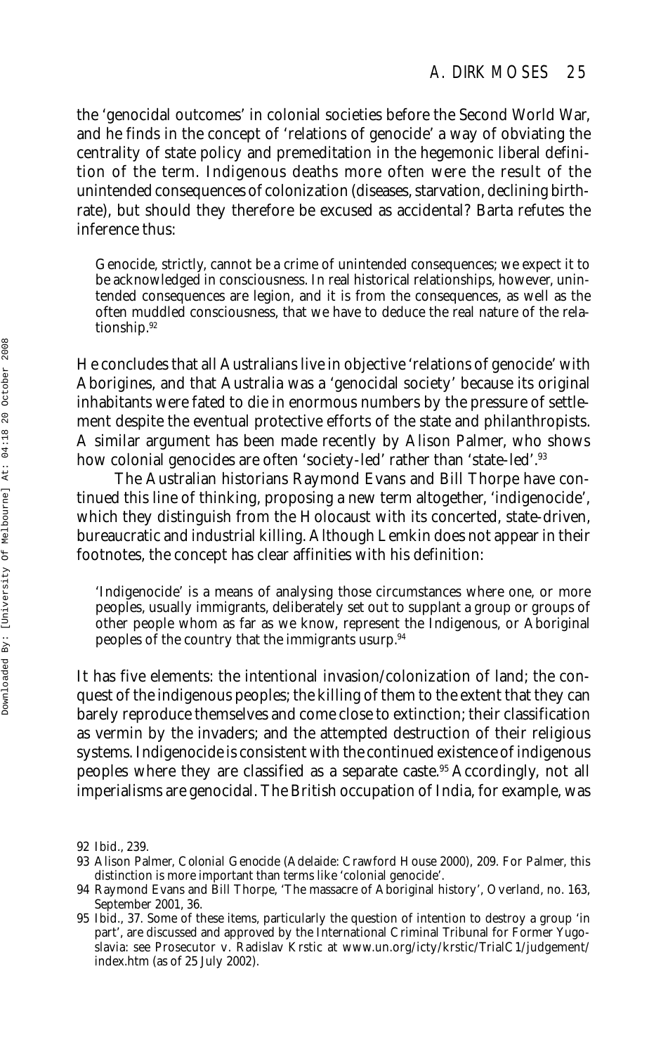the 'genocidal outcomes' in colonial societies before the Second World War, and he finds in the concept of 'relations of genocide' a way of obviating the centrality of state policy and premeditation in the hegemonic liberal definition of the term. Indigenous deaths more often were the result of the unintended consequences of colonization (diseases, starvation, declining birthrate), but should they therefore be excused as accidental? Barta refutes the inference thus:

Genocide, strictly, cannot be a crime of unintended consequences; we expect it to be acknowledged in consciousness. In real historical relationships, however, unintended consequences are legion, and it is from the consequences, as well as the often muddled consciousness, that we have to deduce the real nature of the relationship.<sup>92</sup>

He concludes that all Australians live in objective 'relations of genocide' with Aborigines, and that Australia was a 'genocidal society' because its original inhabitants were fated to die in enormous numbers by the pressure of settlement despite the eventual protective efforts of the state and philanthropists. A similar argument has been made recently by Alison Palmer, who shows how colonial genocides are often 'society-led' rather than 'state-led'.<sup>93</sup>

The Australian historians Raymond Evans and Bill Thorpe have continued this line of thinking, proposing a new term altogether, 'indigenocide', which they distinguish from the Holocaust with its concerted, state-driven, bureaucratic and industrial killing. Although Lemkin does not appear in their footnotes, the concept has clear affinities with his definition:

'Indigenocide' is a means of analysing those circumstances where one, or more peoples, usually immigrants, deliberately set out to supplant a group or groups of other people whom as far as we know, represent the Indigenous, or Aboriginal peoples of the country that the immigrants usurp.94

It has five elements: the intentional invasion/colonization of land; the conquest of the indigenous peoples; the killing of them to the extent that they can barely reproduce themselves and come close to extinction; their classification as vermin by the invaders; and the attempted destruction of their religious systems. Indigenocide is consistent with the continued existence of indigenous peoples where they are classified as a separate caste.<sup>95</sup> Accordingly, not all imperialisms are genocidal. The British occupation of India, for example, was

<sup>92</sup> Ibid., 239.

<sup>93</sup> Alison Palmer, *Colonial Genocide* (Adelaide: Crawford House 2000), 209. For Palmer, this distinction is more important than terms like 'colonial genocide'.

<sup>94</sup> Raymond Evans and Bill Thorpe, 'The massacre of Aboriginal history', *Overland*, no. 163, September 2001, 36.

<sup>95</sup> Ibid., 37. Some of these items, particularly the question of intention to destroy a group 'in part', are discussed and approved by the International Criminal Tribunal for Former Yugoslavia: see Prosecutor *v*. Radislav Krstic at www.un.org/icty/krstic/TrialC1/judgement/ index.htm (as of 25 July 2002).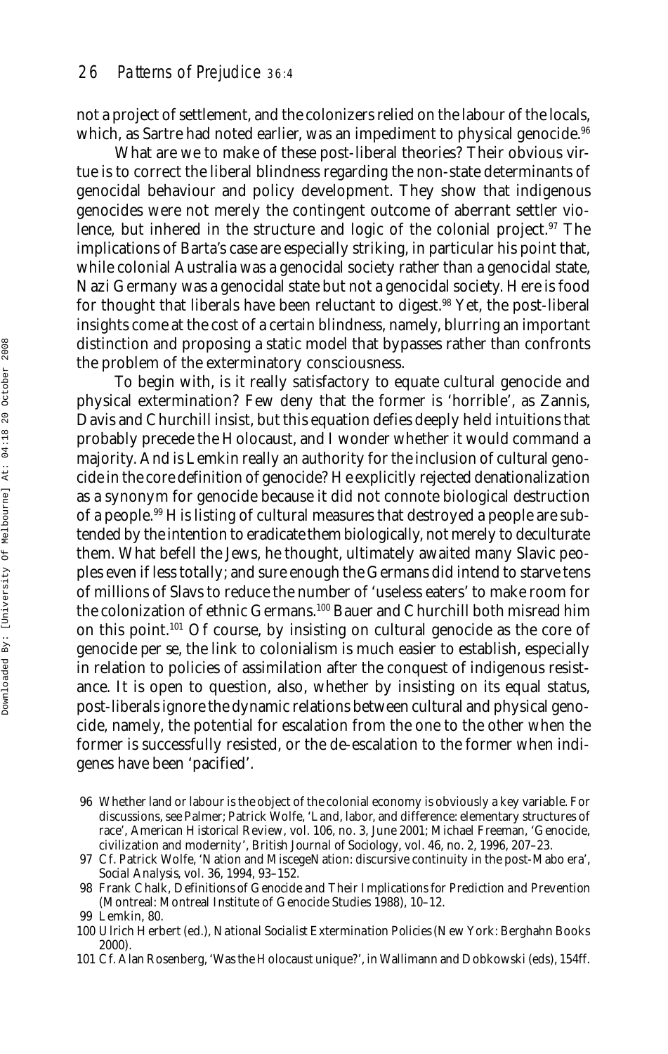not a project of settlement, and the colonizers relied on the labour of the locals, which, as Sartre had noted earlier, was an impediment to physical genocide.<sup>96</sup>

What are we to make of these post-liberal theories? Their obvious virtue is to correct the liberal blindness regarding the non-state determinants of genocidal behaviour and policy development. They show that indigenous genocides were not merely the contingent outcome of aberrant settler violence, but inhered in the structure and logic of the colonial project.<sup>97</sup> The implications of Barta's case are especially striking, in particular his point that, while colonial Australia was a genocidal society rather than a genocidal state, Nazi Germany was a genocidal state but not a genocidal society. Here is food for thought that liberals have been reluctant to digest.98 Yet, the post-liberal insights come at the cost of a certain blindness, namely, blurring an important distinction and proposing a static model that bypasses rather than confronts the problem of the exterminatory consciousness.

To begin with, is it really satisfactory to equate cultural genocide and physical extermination? Few deny that the former is 'horrible', as Zannis, Davis and Churchill insist, but this equation defies deeply held intuitions that probably precede the Holocaust, and I wonder whether it would command a majority. And is Lemkin really an authority for the inclusion of cultural genocide in the core definition of genocide? He explicitly rejected denationalization as a synonym for genocide because it did not connote biological destruction of a people.99 His listing of cultural measures that destroyed a people are subtended by the intention to eradicate them biologically, not merely to deculturate them. What befell the Jews, he thought, ultimately awaited many Slavic peoples even if less totally; and sure enough the Germans did intend to starve tens of millions of Slavs to reduce the number of 'useless eaters' to make room for the colonization of ethnic Germans.<sup>100</sup> Bauer and Churchill both misread him on this point.101 Of course, by insisting on cultural genocide as the core of genocide *per se*, the link to colonialism is much easier to establish, especially in relation to policies of assimilation after the conquest of indigenous resistance. It is open to question, also, whether by insisting on its equal status, post-liberals ignore the dynamic relations between cultural and physical genocide, namely, the potential for escalation from the one to the other when the former is successfully resisted, or the de-escalation to the former when indigenes have been 'pacified'.

 <sup>96</sup> Whether land or labour is the object of the colonial economy is obviously a key variable. For discussions, see Palmer; Patrick Wolfe, 'Land, labor, and difference: elementary structures of race', *American Historical Review*, vol. 106, no. 3, June 2001; Michael Freeman, 'Genocide, civilization and modernity', *British Journal of Sociology*, vol. 46, no. 2, 1996, 207–23.

 <sup>97</sup> Cf. Patrick Wolfe, 'Nation and MiscegeNation: discursive continuity in the post-Mabo era', *Social Analysis*, vol. 36, 1994, 93–152.

 <sup>98</sup> Frank Chalk, *Definitions of Genocide and Their Implications for Prediction and Prevention* (Montreal: Montreal Institute of Genocide Studies 1988), 10–12.

 <sup>99</sup> Lemkin, 80.

<sup>100</sup> Ulrich Herbert (ed.), *National Socialist Extermination Policies* (New York: Berghahn Books 2000).

<sup>101</sup> Cf. Alan Rosenberg, 'Was the Holocaust unique?', in Wallimann and Dobkowski (eds), 154ff.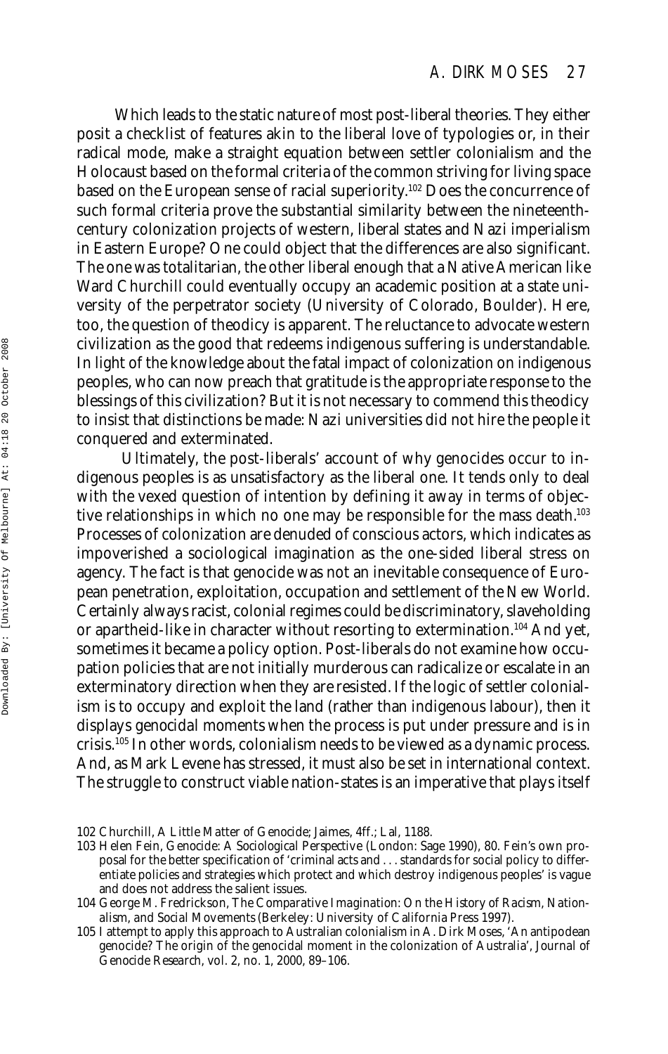Which leads to the static nature of most post-liberal theories. They either posit a checklist of features akin to the liberal love of typologies or, in their radical mode, make a straight equation between settler colonialism and the Holocaust based on the formal criteria of the common striving for living space based on the European sense of racial superiority.102 Does the concurrence of such formal criteria prove the substantial similarity between the nineteenthcentury colonization projects of western, liberal states and Nazi imperialism in Eastern Europe? One could object that the differences are also significant. The one was totalitarian, the other liberal enough that a Native American like Ward Churchill could eventually occupy an academic position at a state university of the perpetrator society (University of Colorado, Boulder). Here, too, the question of theodicy is apparent. The reluctance to advocate western civilization as the good that redeems indigenous suffering is understandable. In light of the knowledge about the fatal impact of colonization on indigenous peoples, who can now preach that gratitude is the appropriate response to the blessings of this civilization? But it is not necessary to commend this theodicy to insist that distinctions be made: Nazi universities did not hire the people it conquered and exterminated.

Ultimately, the post-liberals' account of *why* genocides occur to indigenous peoples is as unsatisfactory as the liberal one. It tends only to deal with the vexed question of intention by defining it away in terms of objective relationships in which no one may be responsible for the mass death.<sup>103</sup> Processes of colonization are denuded of conscious actors, which indicates as impoverished a sociological imagination as the one-sided liberal stress on agency. The fact is that genocide was not an inevitable consequence of European penetration, exploitation, occupation and settlement of the New World. Certainly always racist, colonial regimes could be discriminatory, slaveholding or apartheid-like in character without resorting to extermination.<sup>104</sup> And yet, sometimes it became a policy option. Post-liberals do not examine how occupation policies that are not initially murderous can radicalize or escalate in an exterminatory direction when they are resisted. If the logic of settler colonialism is to occupy and exploit the land (rather than indigenous labour), then it displays *genocidal moments* when the process is put under pressure and is in crisis.105 In other words, colonialism needs to be viewed as a dynamic process. And, as Mark Levene has stressed, it must also be set in international context. The struggle to construct viable nation-states is an imperative that plays itself

<sup>102</sup> Churchill, *A Little Matter of Genocide*; Jaimes, 4ff.; Lal, 1188.

<sup>103</sup> Helen Fein, *Genocide: A Sociological Perspective* (London: Sage 1990), 80. Fein's own proposal for the better specification of 'criminal acts and . . . standards for social policy to differentiate policies and strategies which protect and which destroy indigenous peoples' is vague and does not address the salient issues.

<sup>104</sup> George M. Fredrickson, *The Comparative Imagination: On the History of Racism, Nationalism, and Social Movements* (Berkeley: University of California Press 1997).

<sup>105</sup> I attempt to apply this approach to Australian colonialism in A. Dirk Moses, 'An antipodean genocide? The origin of the genocidal moment in the colonization of Australia', *Journal of Genocide Research*, vol. 2, no. 1, 2000, 89–106.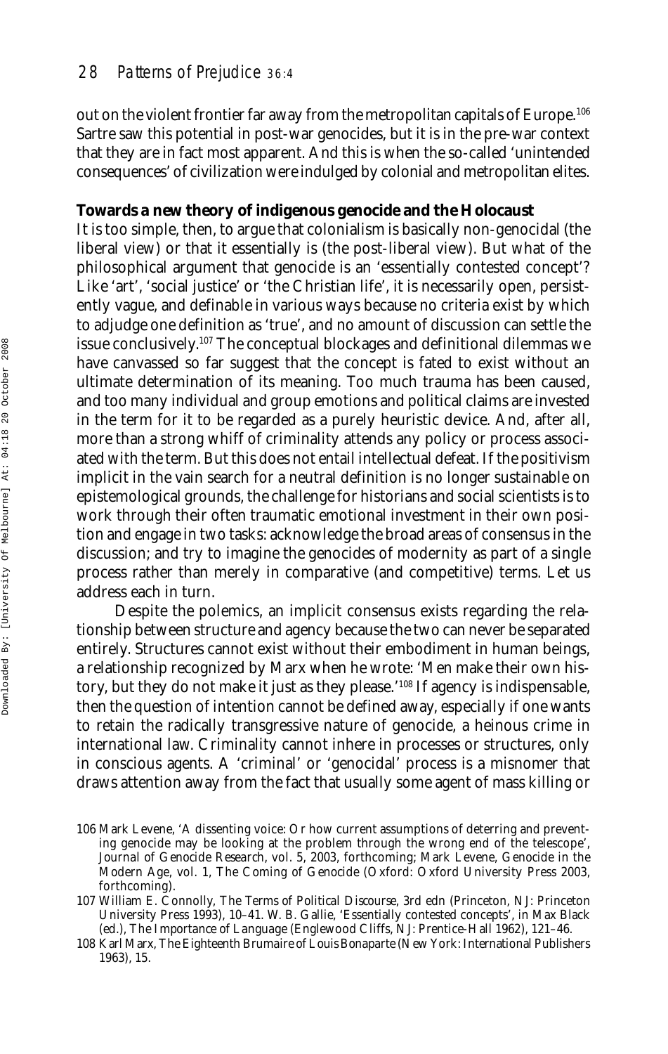out on the violent frontier far away from the metropolitan capitals of Europe.106 Sartre saw this potential in post-war genocides, but it is in the pre-war context that they are in fact most apparent. And this is when the so-called 'unintended consequences' of civilization were indulged by colonial and metropolitan elites.

#### **Towards a new theory of indigenous genocide and the Holocaust**

It is too simple, then, to argue that colonialism is basically non-genocidal (the liberal view) or that it essentially is (the post-liberal view). But what of the philosophical argument that genocide is an 'essentially contested concept'? Like 'art', 'social justice' or 'the Christian life', it is necessarily open, persistently vague, and definable in various ways because no criteria exist by which to adjudge one definition as 'true', and no amount of discussion can settle the issue conclusively.<sup>107</sup> The conceptual blockages and definitional dilemmas we have canvassed so far suggest that the concept is fated to exist without an ultimate determination of its meaning. Too much trauma has been caused, and too many individual and group emotions and political claims are invested in the term for it to be regarded as a purely heuristic device. And, after all, more than a strong whiff of criminality attends any policy or process associated with the term. But this does not entail intellectual defeat. If the positivism implicit in the vain search for a neutral definition is no longer sustainable on epistemological grounds, the challenge for historians and social scientists is to work through their often traumatic emotional investment in their own position and engage in two tasks: acknowledge the broad areas of consensus in the discussion; and try to imagine the genocides of modernity as part of a single process rather than merely in comparative (and competitive) terms. Let us address each in turn.

Despite the polemics, an implicit consensus exists regarding the relationship between structure and agency because the two can never be separated entirely. Structures cannot exist without their embodiment in human beings, a relationship recognized by Marx when he wrote: 'Men make their own history, but they do not make it just as they please.'108 If agency is indispensable, then the question of intention cannot be defined away, especially if one wants to retain the radically transgressive nature of genocide, a heinous crime in international law. Criminality cannot inhere in processes or structures, only in conscious agents. A 'criminal' or 'genocidal' process is a misnomer that draws attention away from the fact that usually some agent of mass killing or

<sup>106</sup> Mark Levene, 'A dissenting voice: Or how current assumptions of deterring and preventing genocide may be looking at the problem through the wrong end of the telescope', *Journal of Genocide Research*, vol. 5, 2003, forthcoming; Mark Levene, *Genocide in the Modern Age*, vol. 1, *The Coming of Genocide* (Oxford: Oxford University Press 2003, forthcoming).

<sup>107</sup> William E. Connolly, *The Terms of Political Discourse*, 3rd edn (Princeton, NJ: Princeton University Press 1993), 10–41. W. B. Gallie, 'Essentially contested concepts', in Max Black (ed.), *The Importance of Language* (Englewood Cliffs, NJ: Prentice-Hall 1962), 121–46.

<sup>108</sup> Karl Marx, *The Eighteenth Brumaire of Louis Bonaparte* (New York: International Publishers 1963), 15.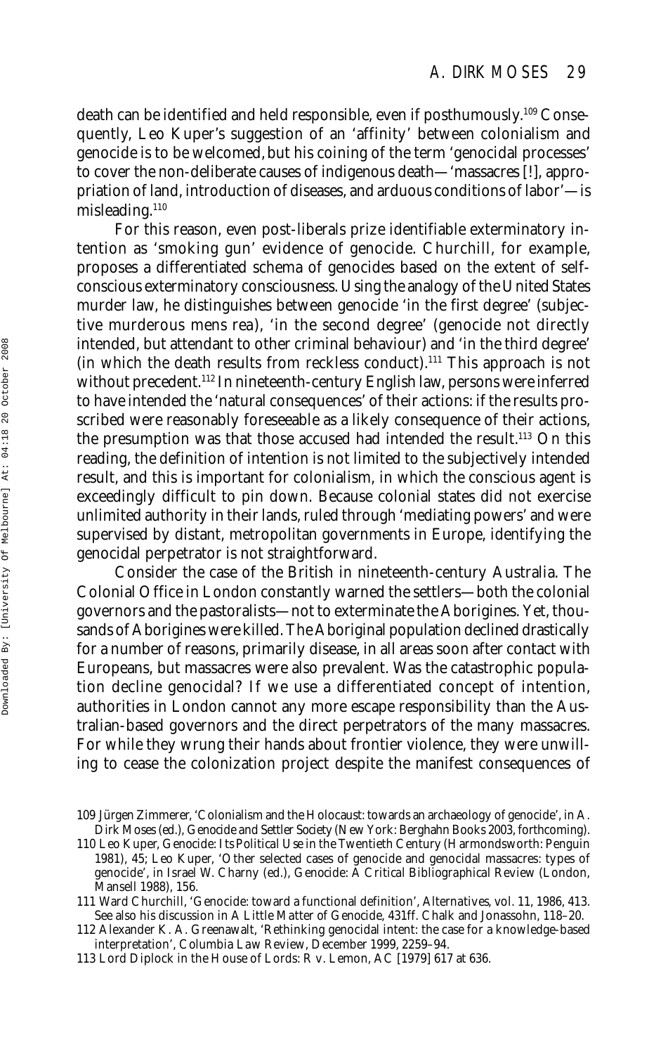death can be identified and held responsible, even if posthumously.109 Consequently, Leo Kuper's suggestion of an 'affinity' between colonialism and genocide is to be welcomed, but his coining of the term 'genocidal processes' to cover the non-deliberate causes of indigenous death—'massacres [!], appropriation of land, introduction of diseases, and arduous conditions of labor'—is misleading.<sup>110</sup>

For this reason, even post-liberals prize identifiable exterminatory intention as 'smoking gun' evidence of genocide. Churchill, for example, proposes a differentiated schema of genocides based on the extent of selfconscious exterminatory consciousness. Using the analogy of the United States murder law, he distinguishes between genocide 'in the first degree' (subjective murderous *mens rea*), 'in the second degree' (genocide not directly intended, but attendant to other criminal behaviour) and 'in the third degree' (in which the death results from reckless conduct).<sup>111</sup> This approach is not without precedent.<sup>112</sup> In nineteenth-century English law, persons were inferred to have intended the 'natural consequences' of their actions: if the results proscribed were reasonably foreseeable as a likely consequence of their actions, the presumption was that those accused had intended the result.113 On this reading, the definition of intention is not limited to the subjectively intended result, and this is important for colonialism, in which the conscious agent is exceedingly difficult to pin down. Because colonial states did not exercise unlimited authority in their lands, ruled through 'mediating powers' and were supervised by distant, metropolitan governments in Europe, identifying the genocidal perpetrator is not straightforward.

Consider the case of the British in nineteenth-century Australia. The Colonial Office in London constantly warned the settlers—both the colonial governors and the pastoralists—not to exterminate the Aborigines. Yet, thousands of Aborigines were killed. The Aboriginal population declined drastically for a number of reasons, primarily disease, in all areas soon after contact with Europeans, but massacres were also prevalent. Was the catastrophic population decline genocidal? If we use a differentiated concept of intention, authorities in London cannot any more escape responsibility than the Australian-based governors and the direct perpetrators of the many massacres. For while they wrung their hands about frontier violence, they were unwilling to cease the colonization project despite the manifest consequences of

<sup>109</sup> Jürgen Zimmerer, 'Colonialism and the Holocaust: towards an archaeology of genocide', in A. Dirk Moses (ed.), *Genocide and Settler Society* (New York: Berghahn Books 2003, forthcoming).

<sup>110</sup> Leo Kuper, *Genocide: Its Political Use in the Twentieth Century* (Harmondsworth: Penguin 1981), 45; Leo Kuper, 'Other selected cases of genocide and genocidal massacres: types of genocide', in Israel W. Charny (ed.), *Genocide: A Critical Bibliographical Review* (London, Mansell 1988), 156.

<sup>111</sup> Ward Churchill, 'Genocide: toward a functional definition', *Alternatives*, vol. 11, 1986, 413. See also his discussion in *A Little Matter of Genocide*, 431ff. Chalk and Jonassohn, 118–20.

<sup>112</sup> Alexander K. A. Greenawalt, 'Rethinking genocidal intent: the case for a knowledge-based interpretation', *Columbia Law Review*, December 1999, 2259–94.

<sup>113</sup> Lord Diplock in the House of Lords: R *v*. Lemon, AC [1979] 617 at 636.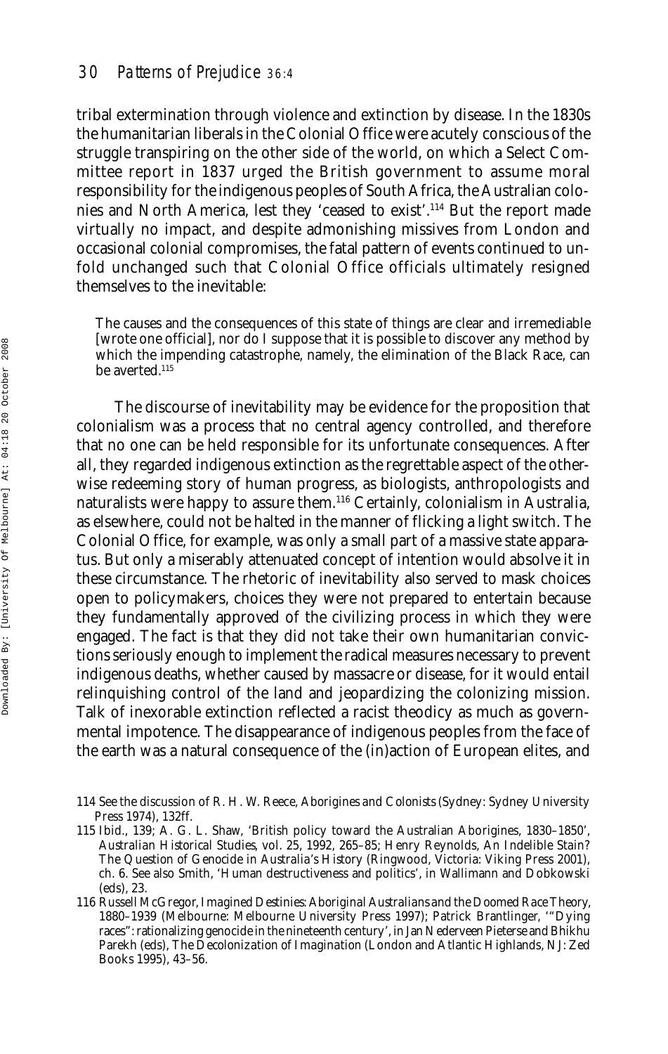tribal extermination through violence and extinction by disease. In the 1830s the humanitarian liberals in the Colonial Office were acutely conscious of the struggle transpiring on the other side of the world, on which a Select Committee report in 1837 urged the British government to assume moral responsibility for the indigenous peoples of South Africa, the Australian colonies and North America, lest they 'ceased to exist'.114 But the report made virtually no impact, and despite admonishing missives from London and occasional colonial compromises, the fatal pattern of events continued to unfold unchanged such that Colonial Office officials ultimately resigned themselves to the inevitable:

The causes and the consequences of this state of things are clear and irremediable [wrote one official], nor do I suppose that it is possible to discover any method by which the impending catastrophe, namely, the elimination of the Black Race, can be averted.<sup>115</sup>

The discourse of inevitability may be evidence for the proposition that colonialism was a process that no central agency controlled, and therefore that no one can be held responsible for its unfortunate consequences. After all, they regarded indigenous extinction as the regrettable aspect of the otherwise redeeming story of human progress, as biologists, anthropologists and naturalists were happy to assure them.116 Certainly, colonialism in Australia, as elsewhere, could not be halted in the manner of flicking a light switch. The Colonial Office, for example, was only a small part of a massive state apparatus. But only a miserably attenuated concept of intention would absolve it in these circumstance. The rhetoric of inevitability also served to mask choices open to policymakers, choices they were not prepared to entertain because they fundamentally approved of the civilizing process in which they were engaged. The fact is that they did not take their own humanitarian convictions seriously enough to implement the radical measures necessary to prevent indigenous deaths, whether caused by massacre or disease, for it would entail relinquishing control of the land and jeopardizing the colonizing mission. Talk of inexorable extinction reflected a racist theodicy as much as governmental impotence. The disappearance of indigenous peoples from the face of the earth was a natural consequence of the (in)action of European elites, and

<sup>114</sup> See the discussion of R. H. W. Reece, *Aborigines and Colonists* (Sydney: Sydney University Press 1974), 132ff.

<sup>115</sup> Ibid., 139; A. G. L. Shaw, 'British policy toward the Australian Aborigines, 1830–1850', *Australian Historical Studies*, vol. 25, 1992, 265–85; Henry Reynolds, *An Indelible Stain? The Question of Genocide in Australia's History* (Ringwood, Victoria: Viking Press 2001), ch. 6. See also Smith, 'Human destructiveness and politics', in Wallimann and Dobkowski (eds), 23.

<sup>116</sup> Russell McGregor, *Imagined Destinies: Aboriginal Australians and the Doomed Race Theory, 1880–1939* (Melbourne: Melbourne University Press 1997); Patrick Brantlinger, '"Dying races": rationalizing genocide in the nineteenth century', in Jan Nederveen Pieterse and Bhikhu Parekh (eds), *The Decolonization of Imagination* (London and Atlantic Highlands, NJ: Zed Books 1995), 43–56.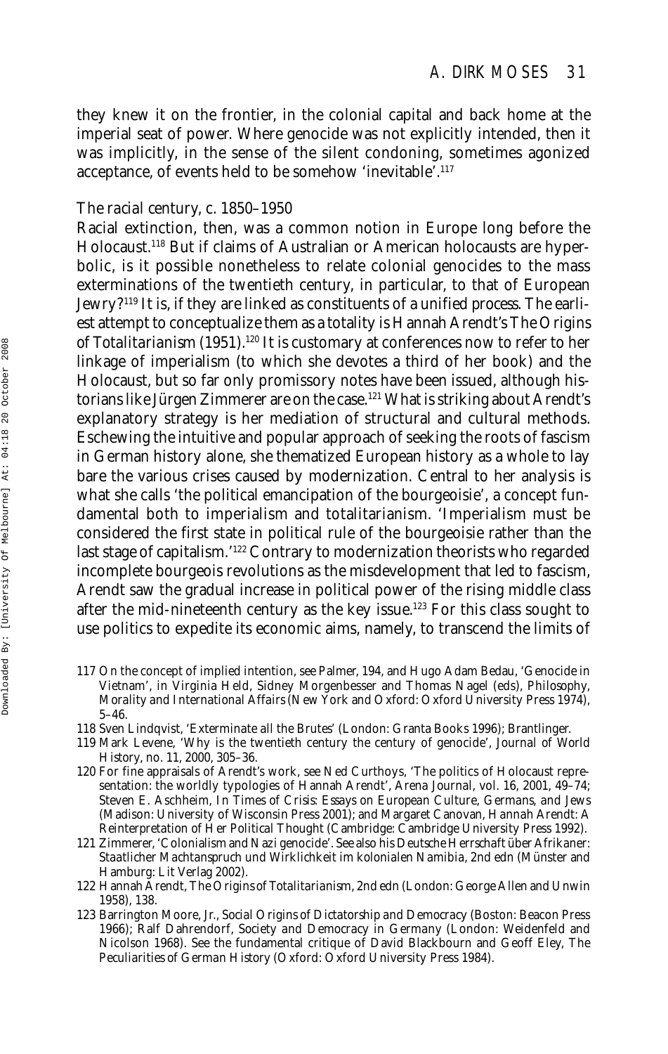they knew it on the frontier, in the colonial capital and back home at the imperial seat of power. Where genocide was not explicitly intended, then it was implicitly, in the sense of the silent condoning, sometimes agonized acceptance, of events held to be somehow 'inevitable'.117

#### *The racial century,* c*. 1850–1950*

Racial extinction, then, was a common notion in Europe long before the Holocaust.118 But if claims of Australian or American holocausts are hyperbolic, is it possible nonetheless to relate colonial genocides to the mass exterminations of the twentieth century, in particular, to that of European Jewry?119 It is, if they are linked as constituents of a *unified process*. The earliest attempt to conceptualize them as a totality is Hannah Arendt's *The Origins of Totalitarianism* (1951).120 It is customary at conferences now to refer to her linkage of imperialism (to which she devotes a third of her book) and the Holocaust, but so far only promissory notes have been issued, although historians like Jürgen Zimmerer are on the case.<sup>121</sup> What is striking about Arendt's explanatory strategy is her mediation of structural and cultural methods. Eschewing the intuitive and popular approach of seeking the roots of fascism in German history alone, she thematized European history as a whole to lay bare the various crises caused by modernization. Central to her analysis is what she calls 'the political emancipation of the bourgeoisie', a concept fundamental both to imperialism and totalitarianism. 'Imperialism must be considered the first state in political rule of the bourgeoisie rather than the last stage of capitalism.<sup>'122</sup> Contrary to modernization theorists who regarded incomplete bourgeois revolutions as the misdevelopment that led to fascism, Arendt saw the gradual increase in political power of the rising middle class after the mid-nineteenth century as the key issue.<sup>123</sup> For this class sought to use politics to expedite its economic aims, namely, to transcend the limits of

- 117 On the concept of implied intention, see Palmer, 194, and Hugo Adam Bedau, 'Genocide in Vietnam', in Virginia Held, Sidney Morgenbesser and Thomas Nagel (eds), *Philosophy, Morality and International Affairs* (New York and Oxford: Oxford University Press 1974), 5–46.
- 118 Sven Lindqvist, *'Exterminate all the Brutes'* (London: Granta Books 1996); Brantlinger.
- 119 Mark Levene, 'Why is the twentieth century the century of genocide', *Journal of World History*, no. 11, 2000, 305–36.
- 120 For fine appraisals of Arendt's work, see Ned Curthoys, 'The politics of Holocaust representation: the worldly typologies of Hannah Arendt', *Arena Journal*, vol. 16, 2001, 49–74; Steven E. Aschheim, *In Times of Crisis: Essays on European Culture, Germans, and Jews* (Madison: University of Wisconsin Press 2001); and Margaret Canovan, *Hannah Arendt: A Reinterpretation of Her Political Thought* (Cambridge: Cambridge University Press 1992).
- 121 Zimmerer, 'Colonialism and Nazi genocide'. See also his *Deutsche Herrschaft über Afrikaner: Staatlicher Machtanspruch und Wirklichkeit im kolonialen Namibia*, 2nd edn (Münster and Hamburg: Lit Verlag 2002).
- 122 Hannah Arendt, *The Origins of Totalitarianism*, 2nd edn (London: George Allen and Unwin 1958), 138.
- 123 Barrington Moore, Jr., *Social Origins of Dictatorship and Democracy* (Boston: Beacon Press 1966); Ralf Dahrendorf, *Society and Democracy in Germany* (London: Weidenfeld and Nicolson 1968). See the fundamental critique of David Blackbourn and Geoff Eley, *The Peculiarities of German History* (Oxford: Oxford University Press 1984).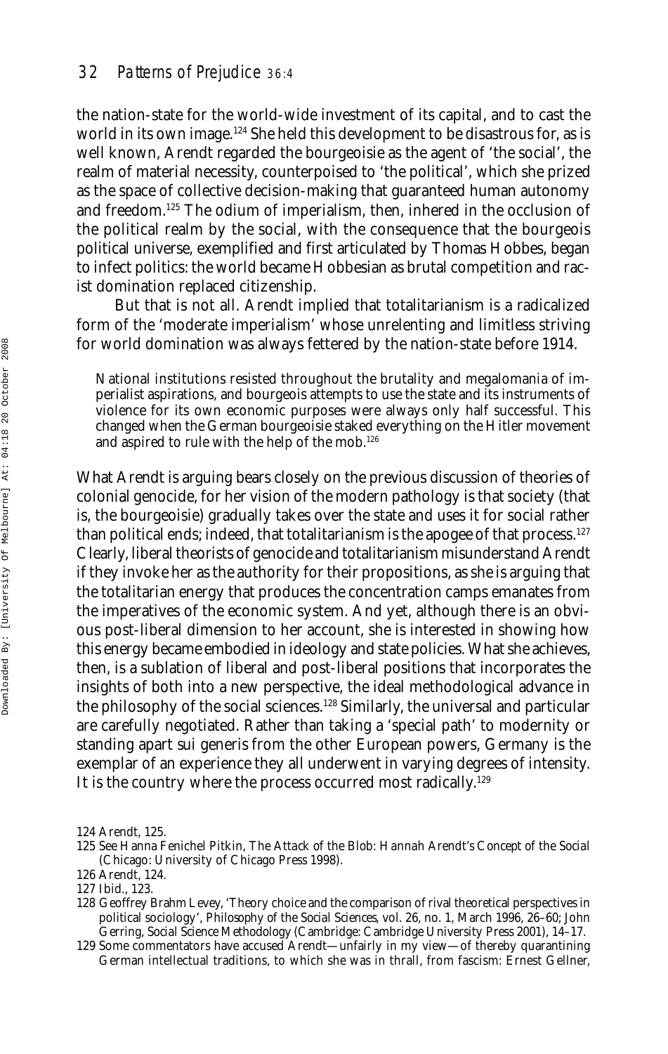the nation-state for the world-wide investment of its capital, and to cast the world in its own image.<sup>124</sup> She held this development to be disastrous for, as is well known, Arendt regarded the bourgeoisie as the agent of 'the social', the realm of material necessity, counterpoised to 'the political', which she prized as the space of collective decision-making that guaranteed human autonomy and freedom.<sup>125</sup> The odium of imperialism, then, inhered in the occlusion of the political realm by the social, with the consequence that the bourgeois political universe, exemplified and first articulated by Thomas Hobbes, began to infect politics: the world became Hobbesian as brutal competition and racist domination replaced citizenship.

But that is not all. Arendt implied that totalitarianism is a radicalized form of the 'moderate imperialism' whose unrelenting and limitless striving for world domination was always fettered by the nation-state before 1914.

National institutions resisted throughout the brutality and megalomania of imperialist aspirations, and bourgeois attempts to use the state and its instruments of violence for its own economic purposes were always only half successful. This changed when the German bourgeoisie staked everything on the Hitler movement and aspired to rule with the help of the mob.<sup>126</sup>

What Arendt is arguing bears closely on the previous discussion of theories of colonial genocide, for her vision of the modern pathology is that society (that is, the bourgeoisie) gradually takes over the state and uses it for social rather than political ends; indeed, that totalitarianism is the apogee of that process.<sup>127</sup> Clearly, liberal theorists of genocide and totalitarianism misunderstand Arendt if they invoke her as the authority for their propositions, as she is arguing that the totalitarian energy that produces the concentration camps emanates from the imperatives of the economic system. And yet, although there is an obvious post-liberal dimension to her account, she is interested in showing how this energy became embodied in ideology and state policies. What she achieves, then, is a sublation of liberal and post-liberal positions that incorporates the insights of both into a new perspective, the ideal methodological advance in the philosophy of the social sciences.<sup>128</sup> Similarly, the universal and particular are carefully negotiated. Rather than taking a 'special path' to modernity or standing apart *sui generis* from the other European powers, Germany is the exemplar of an experience they all underwent in varying degrees of intensity. It is the country where the process occurred most radically.<sup>129</sup>

<sup>124</sup> Arendt, 125.

<sup>125</sup> See Hanna Fenichel Pitkin, *The Attack of the Blob: Hannah Arendt's Concept of the Social* (Chicago: University of Chicago Press 1998).

<sup>126</sup> Arendt, 124.

<sup>127</sup> Ibid., 123.

<sup>128</sup> Geoffrey Brahm Levey, 'Theory choice and the comparison of rival theoretical perspectives in political sociology', *Philosophy of the Social Sciences*, vol. 26, no. 1, March 1996, 26–60; John Gerring, *Social Science Methodology* (Cambridge: Cambridge University Press 2001), 14–17.

<sup>129</sup> Some commentators have accused Arendt—unfairly in my view—of thereby quarantining German intellectual traditions, to which she was in thrall, from fascism: Ernest Gellner,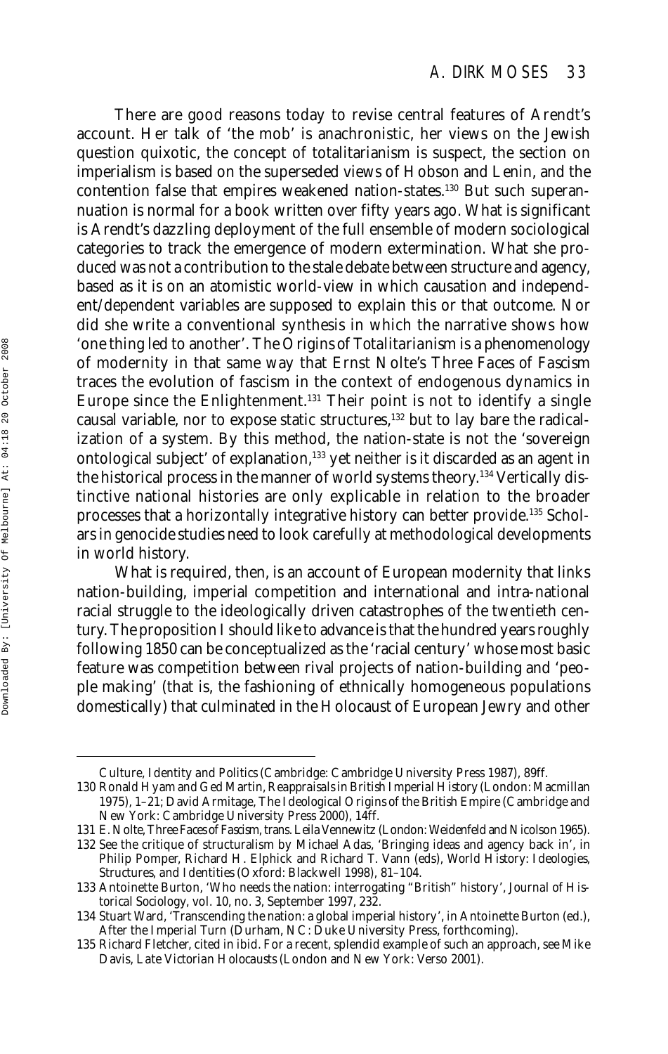There are good reasons today to revise central features of Arendt's account. Her talk of 'the mob' is anachronistic, her views on the Jewish question quixotic, the concept of totalitarianism is suspect, the section on imperialism is based on the superseded views of Hobson and Lenin, and the contention false that empires weakened nation-states.<sup>130</sup> But such superannuation is normal for a book written over fifty years ago. What is significant is Arendt's dazzling deployment of the full ensemble of modern sociological categories to track the emergence of modern extermination. What she produced was not a contribution to the stale debate between structure and agency, based as it is on an atomistic world-view in which causation and independent/dependent variables are supposed to explain this or that outcome. Nor did she write a conventional synthesis in which the narrative shows how 'one thing led to another'. *The Origins of Totalitarianism* is a *phenomenology* of modernity in that same way that Ernst Nolte's *Three Faces of Fascism* traces the evolution of fascism in the context of endogenous dynamics in Europe since the Enlightenment.<sup>131</sup> Their point is not to identify a single causal variable, nor to expose static structures,<sup>132</sup> but to lay bare the radicalization of a system. By this method, the nation-state is not the 'sovereign ontological subject' of explanation,<sup>133</sup> yet neither is it discarded as an agent in the historical process in the manner of world systems theory.<sup>134</sup> Vertically distinctive national histories are only explicable in relation to the broader processes that a horizontally integrative history can better provide.135 Scholars in genocide studies need to look carefully at methodological developments in world history.

What is required, then, is an account of European modernity that links nation-building, imperial competition and international and intra-national racial struggle to the ideologically driven catastrophes of the twentieth century. The proposition I should like to advance is that the hundred years roughly following 1850 can be conceptualized as the 'racial century' whose most basic feature was competition between rival projects of nation-building and 'people making' (that is, the fashioning of ethnically homogeneous populations domestically) that culminated in the Holocaust of European Jewry and other

*Culture, Identity and Politics* (Cambridge: Cambridge University Press 1987), 89ff.

<sup>130</sup> Ronald Hyam and Ged Martin, *Reappraisals in British Imperial History* (London: Macmillan 1975), 1–21; David Armitage, *The Ideological Origins of the British Empire* (Cambridge and New York: Cambridge University Press 2000), 14ff.

<sup>131</sup> E. Nolte, *Three Faces of Fascism*, trans. Leila Vennewitz (London: Weidenfeld and Nicolson 1965).

<sup>132</sup> See the critique of structuralism by Michael Adas, 'Bringing ideas and agency back in', in Philip Pomper, Richard H. Elphick and Richard T. Vann (eds), *World History: Ideologies, Structures, and Identities* (Oxford: Blackwell 1998), 81–104.

<sup>133</sup> Antoinette Burton, 'Who needs the nation: interrogating "British" history', *Journal of Historical Sociology*, vol. 10, no. 3, September 1997, 232.

<sup>134</sup> Stuart Ward, 'Transcending the nation: a global imperial history', in Antoinette Burton (ed.), *After the Imperial Turn* (Durham, NC: Duke University Press, forthcoming).

<sup>135</sup> Richard Fletcher, cited in ibid. For a recent, splendid example of such an approach, see Mike Davis, *Late Victorian Holocausts* (London and New York: Verso 2001).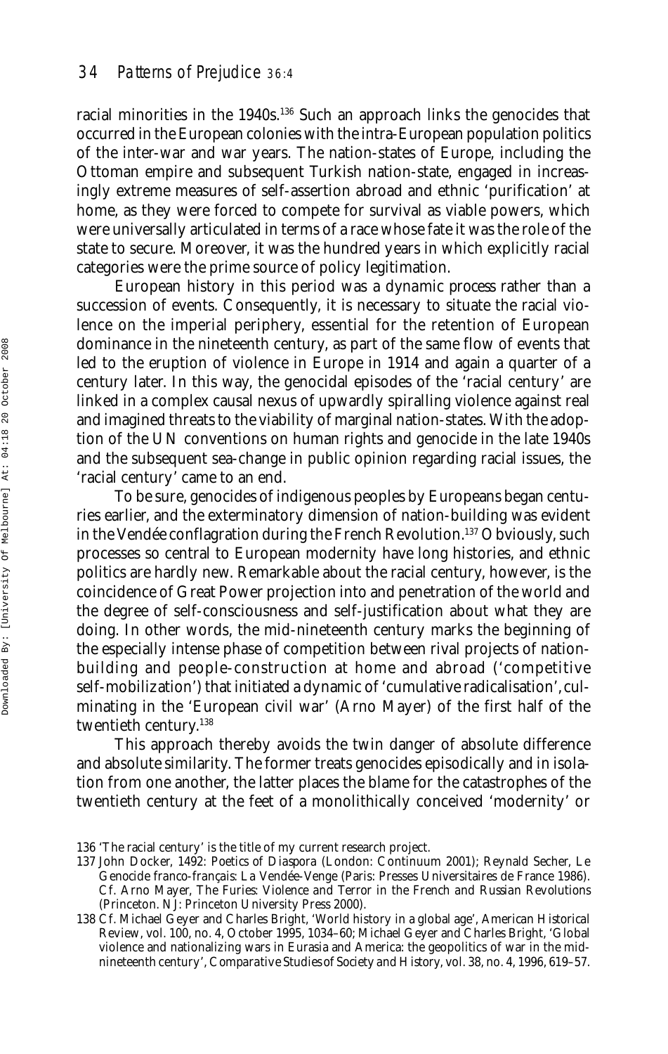racial minorities in the 1940s.<sup>136</sup> Such an approach links the genocides that occurred in the European colonies with the intra-European population politics of the inter-war and war years. The nation-states of Europe, including the Ottoman empire and subsequent Turkish nation-state, engaged in increasingly extreme measures of self-assertion abroad and ethnic 'purification' at home, as they were forced to compete for survival as viable powers, which were universally articulated in terms of a race whose fate it was the role of the state to secure. Moreover, it was the hundred years in which explicitly racial categories were the prime source of policy legitimation.

European history in this period was a *dynamic process* rather than a succession of events. Consequently, it is necessary to situate the racial violence on the imperial periphery, essential for the retention of European dominance in the nineteenth century, as part of the same flow of events that led to the eruption of violence in Europe in 1914 and again a quarter of a century later. In this way, the genocidal episodes of the 'racial century' are linked in a complex causal nexus of upwardly spiralling violence against real and imagined threats to the viability of marginal nation-states. With the adoption of the UN conventions on human rights and genocide in the late 1940s and the subsequent sea-change in public opinion regarding racial issues, the 'racial century' came to an end.

To be sure, genocides of indigenous peoples by Europeans began centuries earlier, and the exterminatory dimension of nation-building was evident in the Vendée conflagration during the French Revolution.<sup>137</sup> Obviously, such processes so central to European modernity have long histories, and ethnic politics are hardly new. Remarkable about the racial century, however, is the coincidence of Great Power projection into and penetration of the world and the degree of self-consciousness and self-justification about what they are doing. In other words, the mid-nineteenth century marks the beginning of the especially intense phase of competition between rival projects of nationbuilding and people-construction at home and abroad ('competitive self-mobilization') that initiated a dynamic of 'cumulative radicalisation', culminating in the 'European civil war' (Arno Mayer) of the first half of the twentieth century.138

This approach thereby avoids the twin danger of absolute difference and absolute similarity. The former treats genocides episodically and in isolation from one another, the latter places the blame for the catastrophes of the twentieth century at the feet of a monolithically conceived 'modernity' or

<sup>136 &#</sup>x27;The racial century' is the title of my current research project.

<sup>137</sup> John Docker, *1492: Poetics of Diaspora* (London: Continuum 2001); Reynald Secher, *Le Genocide franco-français: La Vendée-Venge* (Paris: Presses Universitaires de France 1986). Cf. Arno Mayer, *The Furies: Violence and Terror in the French and Russian Revolutions* (Princeton. NJ: Princeton University Press 2000).

<sup>138</sup> Cf. Michael Geyer and Charles Bright, 'World history in a global age', *American Historical Review*, vol. 100, no. 4, October 1995, 1034–60; Michael Geyer and Charles Bright, 'Global violence and nationalizing wars in Eurasia and America: the geopolitics of war in the midnineteenth century', *Comparative Studies of Society and History*, vol. 38, no. 4, 1996, 619–57.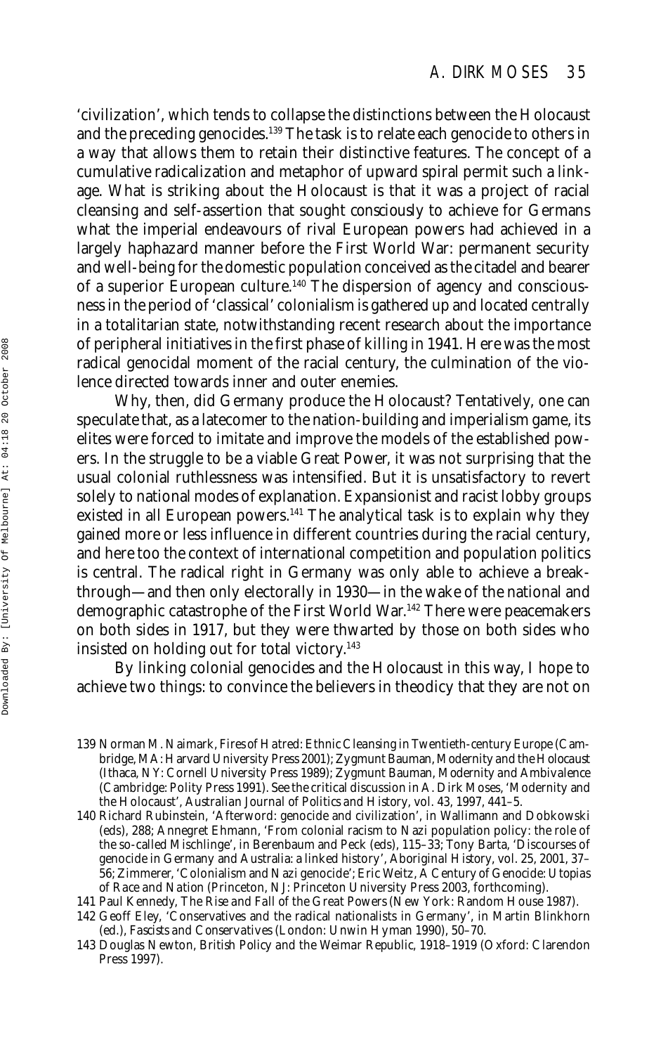'civilization', which tends to collapse the distinctions between the Holocaust and the preceding genocides.<sup>139</sup> The task is to relate each genocide to others in a way that allows them to retain their distinctive features. The concept of a cumulative radicalization and metaphor of upward spiral permit such a linkage. What is striking about the Holocaust is that it was a project of racial cleansing and self-assertion that sought *consciously* to achieve for Germans what the imperial endeavours of rival European powers had achieved in a largely haphazard manner before the First World War: permanent security and well-being for the domestic population conceived as the citadel and bearer of a superior European culture.<sup>140</sup> The dispersion of agency and consciousness in the period of 'classical' colonialism is gathered up and located centrally in a totalitarian state, notwithstanding recent research about the importance of peripheral initiatives in the first phase of killing in 1941. Here was the most radical genocidal moment of the racial century, the culmination of the violence directed towards inner and outer enemies.

Why, then, did Germany produce the Holocaust? Tentatively, one can speculate that, as a latecomer to the nation-building and imperialism game, its elites were forced to imitate and improve the models of the established powers. In the struggle to be a viable Great Power, it was not surprising that the usual colonial ruthlessness was intensified. But it is unsatisfactory to revert solely to national modes of explanation. Expansionist and racist lobby groups existed in all European powers.<sup>141</sup> The analytical task is to explain why they gained more or less influence in different countries during the racial century, and here too the context of international competition and population politics is central. The radical right in Germany was only able to achieve a breakthrough—and then only electorally in 1930—in the wake of the national and demographic catastrophe of the First World War.142 There were peacemakers on both sides in 1917, but they were thwarted by those on both sides who insisted on holding out for total victory.<sup>143</sup>

By linking colonial genocides and the Holocaust in this way, I hope to achieve two things: to convince the believers in theodicy that they are not on

<sup>139</sup> Norman M. Naimark, *Fires of Hatred: Ethnic Cleansing in Twentieth-century Europe* (Cambridge, MA: Harvard University Press 2001); Zygmunt Bauman, *Modernity and the Holocaust* (Ithaca, NY: Cornell University Press 1989); Zygmunt Bauman, *Modernity and Ambivalence* (Cambridge: Polity Press 1991). See the critical discussion in A. Dirk Moses, 'Modernity and the Holocaust', *Australian Journal of Politics and History*, vol. 43, 1997, 441–5.

<sup>140</sup> Richard Rubinstein, 'Afterword: genocide and civilization', in Wallimann and Dobkowski (eds), 288; Annegret Ehmann, 'From colonial racism to Nazi population policy: the role of the so-called Mischlinge', in Berenbaum and Peck (eds), 115–33; Tony Barta, 'Discourses of genocide in Germany and Australia: a linked history', *Aboriginal History*, vol. 25, 2001, 37– 56; Zimmerer, 'Colonialism and Nazi genocide'; Eric Weitz, *A Century of Genocide: Utopias of Race and Nation* (Princeton, NJ: Princeton University Press 2003, forthcoming).

<sup>141</sup> Paul Kennedy, *The Rise and Fall of the Great Powers* (New York: Random House 1987).

<sup>142</sup> Geoff Eley, 'Conservatives and the radical nationalists in Germany', in Martin Blinkhorn (ed.), *Fascists and Conservatives* (London: Unwin Hyman 1990), 50–70.

<sup>143</sup> Douglas Newton, *British Policy and the Weimar Republic, 1918–1919* (Oxford: Clarendon Press 1997).